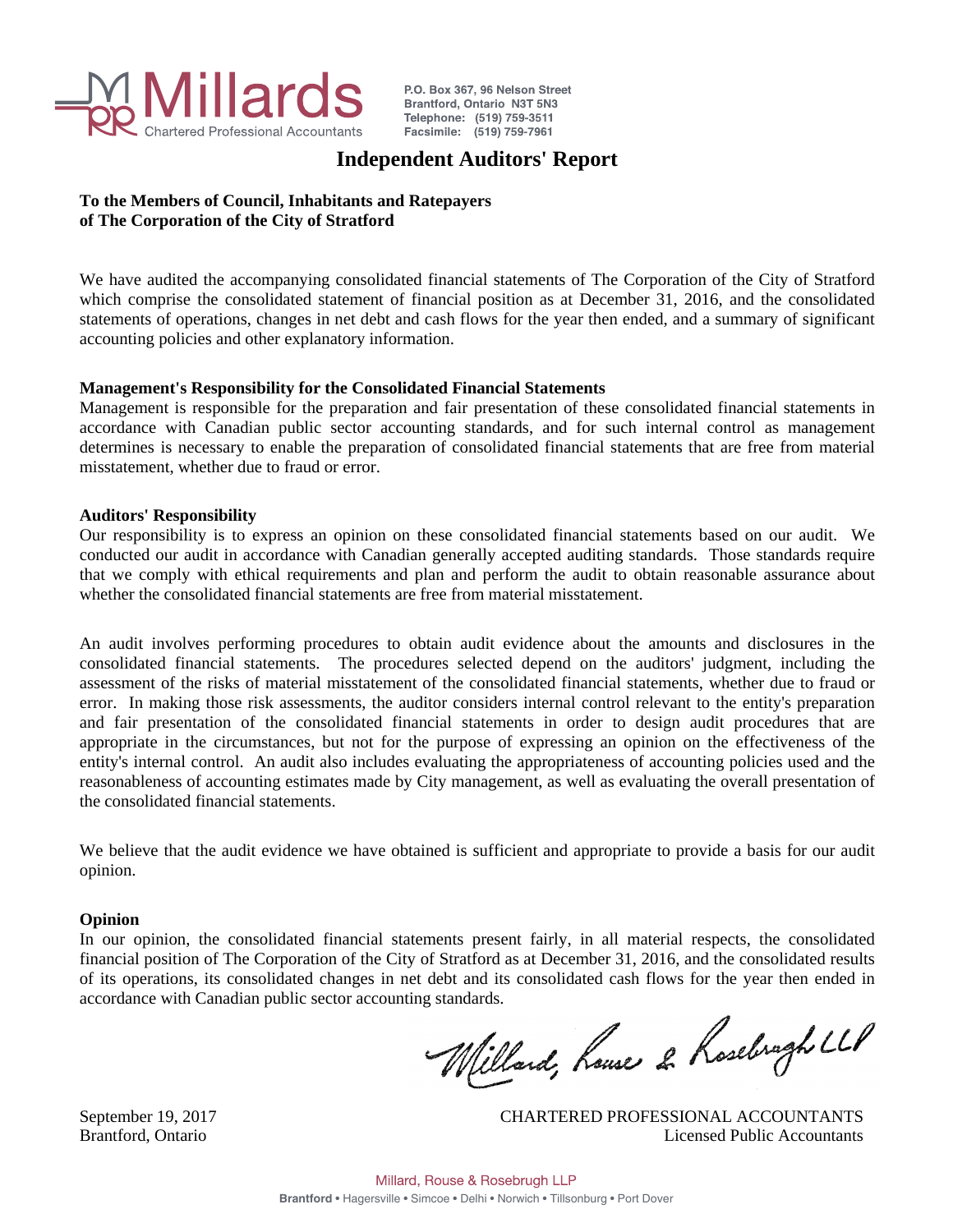

P.O. Box 367, 96 Nelson Street Brantford, Ontario N3T 5N3 Telephone: (519) 759-3511 Facsimile: (519) 759-7961

# **Independent Auditors' Report**

# **To the Members of Council, Inhabitants and Ratepayers of The Corporation of the City of Stratford**

We have audited the accompanying consolidated financial statements of The Corporation of the City of Stratford which comprise the consolidated statement of financial position as at December 31, 2016, and the consolidated statements of operations, changes in net debt and cash flows for the year then ended, and a summary of significant accounting policies and other explanatory information.

# **Management's Responsibility for the Consolidated Financial Statements**

Management is responsible for the preparation and fair presentation of these consolidated financial statements in accordance with Canadian public sector accounting standards, and for such internal control as management determines is necessary to enable the preparation of consolidated financial statements that are free from material misstatement, whether due to fraud or error.

# **Auditors' Responsibility**

Our responsibility is to express an opinion on these consolidated financial statements based on our audit. We conducted our audit in accordance with Canadian generally accepted auditing standards. Those standards require that we comply with ethical requirements and plan and perform the audit to obtain reasonable assurance about whether the consolidated financial statements are free from material misstatement.

An audit involves performing procedures to obtain audit evidence about the amounts and disclosures in the consolidated financial statements. The procedures selected depend on the auditors' judgment, including the assessment of the risks of material misstatement of the consolidated financial statements, whether due to fraud or error. In making those risk assessments, the auditor considers internal control relevant to the entity's preparation and fair presentation of the consolidated financial statements in order to design audit procedures that are appropriate in the circumstances, but not for the purpose of expressing an opinion on the effectiveness of the entity's internal control. An audit also includes evaluating the appropriateness of accounting policies used and the reasonableness of accounting estimates made by City management, as well as evaluating the overall presentation of the consolidated financial statements.

We believe that the audit evidence we have obtained is sufficient and appropriate to provide a basis for our audit opinion.

# **Opinion**

In our opinion, the consolidated financial statements present fairly, in all material respects, the consolidated financial position of The Corporation of the City of Stratford as at December 31, 2016, and the consolidated results of its operations, its consolidated changes in net debt and its consolidated cash flows for the year then ended in accordance with Canadian public sector accounting standards.

Willard, house 2 Rosebragh LLP

September 19, 2017 CHARTERED PROFESSIONAL ACCOUNTANTS Brantford, Ontario Licensed Public Accountants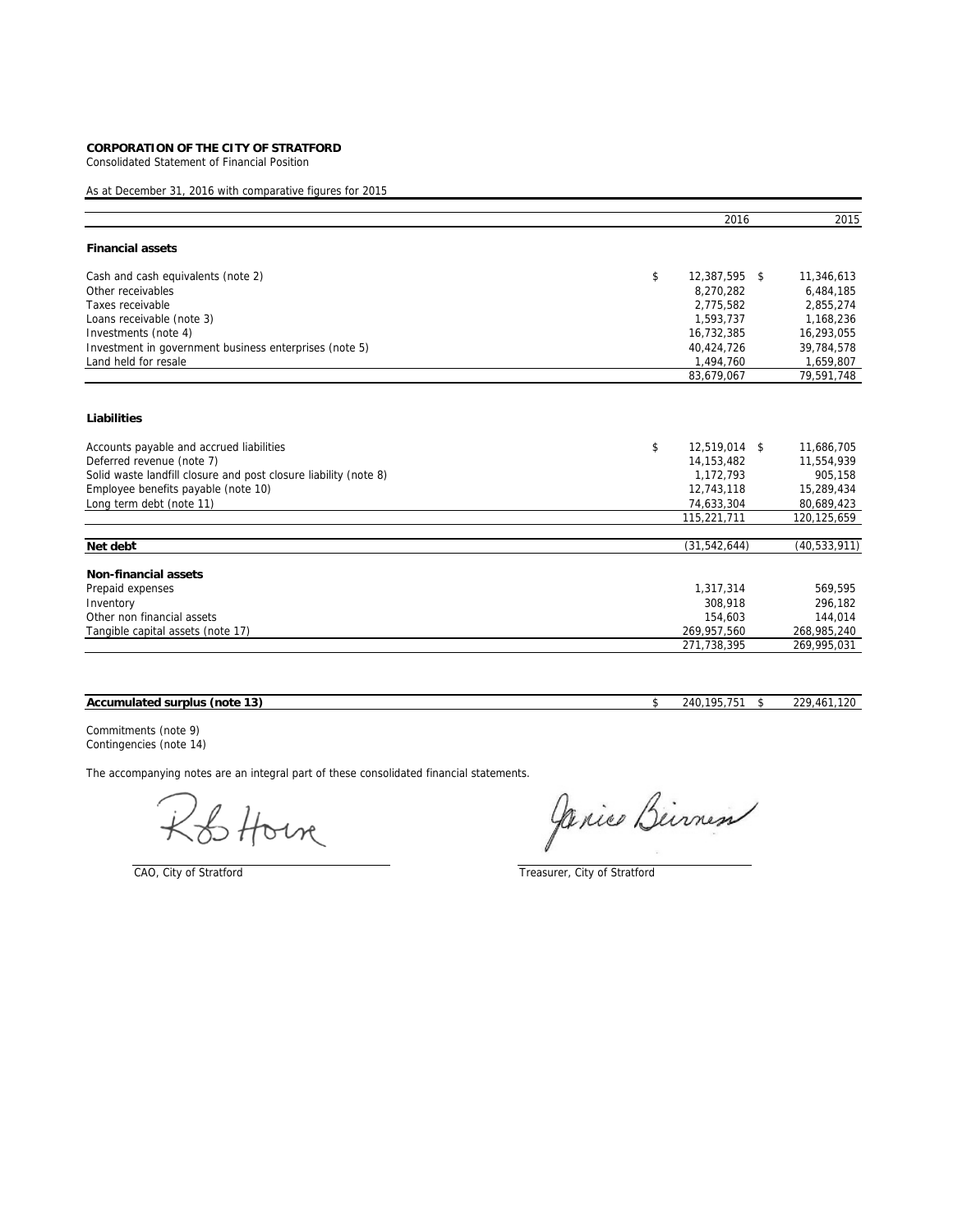Consolidated Statement of Financial Position

As at December 31, 2016 with comparative figures for 2015

|                                                                  | 2016                | 2015           |
|------------------------------------------------------------------|---------------------|----------------|
| <b>Financial assets</b>                                          |                     |                |
| Cash and cash equivalents (note 2)                               | \$<br>12,387,595 \$ | 11,346,613     |
| Other receivables                                                | 8,270,282           | 6,484,185      |
| Taxes receivable                                                 | 2.775.582           | 2.855.274      |
| Loans receivable (note 3)                                        | 1,593,737           | 1,168,236      |
| Investments (note 4)                                             | 16,732,385          | 16,293,055     |
| Investment in government business enterprises (note 5)           | 40,424,726          | 39,784,578     |
| Land held for resale                                             | 1,494,760           | 1,659,807      |
|                                                                  | 83,679,067          | 79,591,748     |
| Liabilities                                                      |                     |                |
| Accounts payable and accrued liabilities                         | \$<br>12,519,014 \$ | 11,686,705     |
| Deferred revenue (note 7)                                        | 14, 153, 482        | 11,554,939     |
| Solid waste landfill closure and post closure liability (note 8) | 1,172,793           | 905.158        |
| Employee benefits payable (note 10)                              | 12,743,118          | 15,289,434     |
| Long term debt (note 11)                                         | 74,633,304          | 80,689,423     |
|                                                                  | 115,221,711         | 120,125,659    |
| Net debt                                                         | (31, 542, 644)      | (40, 533, 911) |
| Non-financial assets                                             |                     |                |
| Prepaid expenses                                                 | 1,317,314           | 569,595        |
| Inventory                                                        | 308.918             | 296,182        |
| Other non financial assets                                       | 154,603             | 144,014        |
| Tangible capital assets (note 17)                                | 269,957,560         | 268,985,240    |
|                                                                  | 271,738,395         | 269,995,031    |

# **Accumulated surplus (note 13)** \$ 240,195,751 \$ 229,461,120

Commitments (note 9) Contingencies (note 14)

& Horn

Janice Birness

CAO, City of Stratford Treasurer, City of Stratford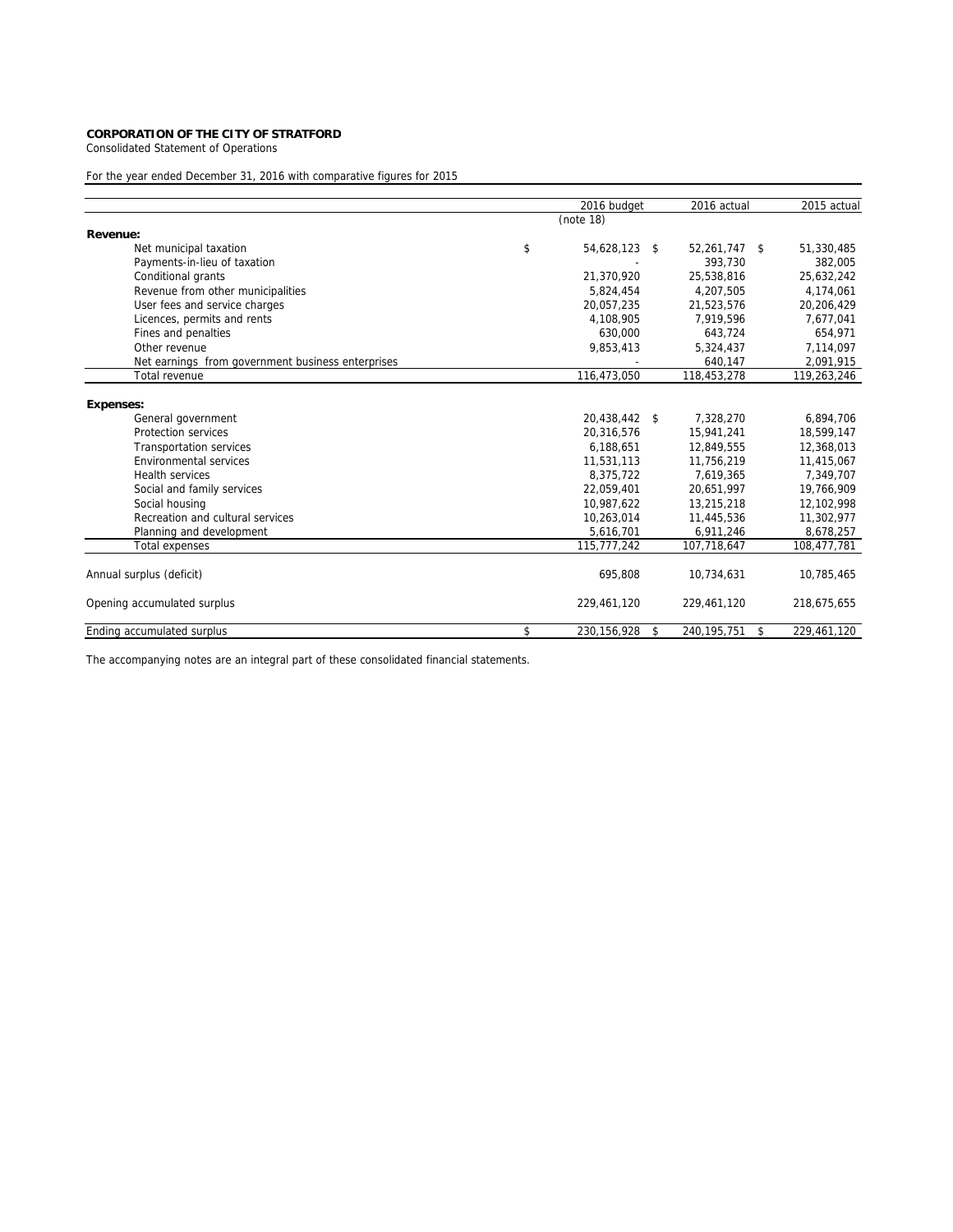Consolidated Statement of Operations

# For the year ended December 31, 2016 with comparative figures for 2015

|                                                   | 2016 budget         | 2016 actual         | 2015 actual       |
|---------------------------------------------------|---------------------|---------------------|-------------------|
|                                                   | (note 18)           |                     |                   |
| Revenue:                                          |                     |                     |                   |
| Net municipal taxation                            | \$<br>54,628,123    | \$<br>52,261,747    | \$<br>51,330,485  |
| Payments-in-lieu of taxation                      |                     | 393,730             | 382,005           |
| Conditional grants                                | 21,370,920          | 25.538.816          | 25,632,242        |
| Revenue from other municipalities                 | 5,824,454           | 4,207,505           | 4,174,061         |
| User fees and service charges                     | 20.057.235          | 21,523,576          | 20,206,429        |
| Licences, permits and rents                       | 4,108,905           | 7,919,596           | 7,677,041         |
| Fines and penalties                               | 630.000             | 643.724             | 654.971           |
| Other revenue                                     | 9,853,413           | 5,324,437           | 7,114,097         |
| Net earnings from government business enterprises |                     | 640,147             | 2,091,915         |
| Total revenue                                     | 116,473,050         | 118,453,278         | 119,263,246       |
|                                                   |                     |                     |                   |
| <b>Expenses:</b>                                  |                     |                     |                   |
| General government                                | 20,438,442 \$       | 7.328.270           | 6,894,706         |
| Protection services                               | 20.316.576          | 15.941.241          | 18,599,147        |
| <b>Transportation services</b>                    | 6,188,651           | 12,849,555          | 12,368,013        |
| Environmental services                            | 11,531,113          | 11,756,219          | 11,415,067        |
| <b>Health services</b>                            | 8.375.722           | 7.619.365           | 7.349.707         |
| Social and family services                        | 22,059,401          | 20,651,997          | 19,766,909        |
| Social housing                                    | 10,987,622          | 13,215,218          | 12,102,998        |
| Recreation and cultural services                  | 10.263.014          | 11,445,536          | 11,302,977        |
| Planning and development                          | 5,616,701           | 6,911,246           | 8,678,257         |
| <b>Total expenses</b>                             | 115,777,242         | 107,718,647         | 108,477,781       |
|                                                   |                     |                     |                   |
| Annual surplus (deficit)                          | 695,808             | 10,734,631          | 10,785,465        |
| Opening accumulated surplus                       | 229,461,120         | 229,461,120         | 218,675,655       |
| Ending accumulated surplus                        | \$<br>230, 156, 928 | \$<br>240, 195, 751 | \$<br>229,461,120 |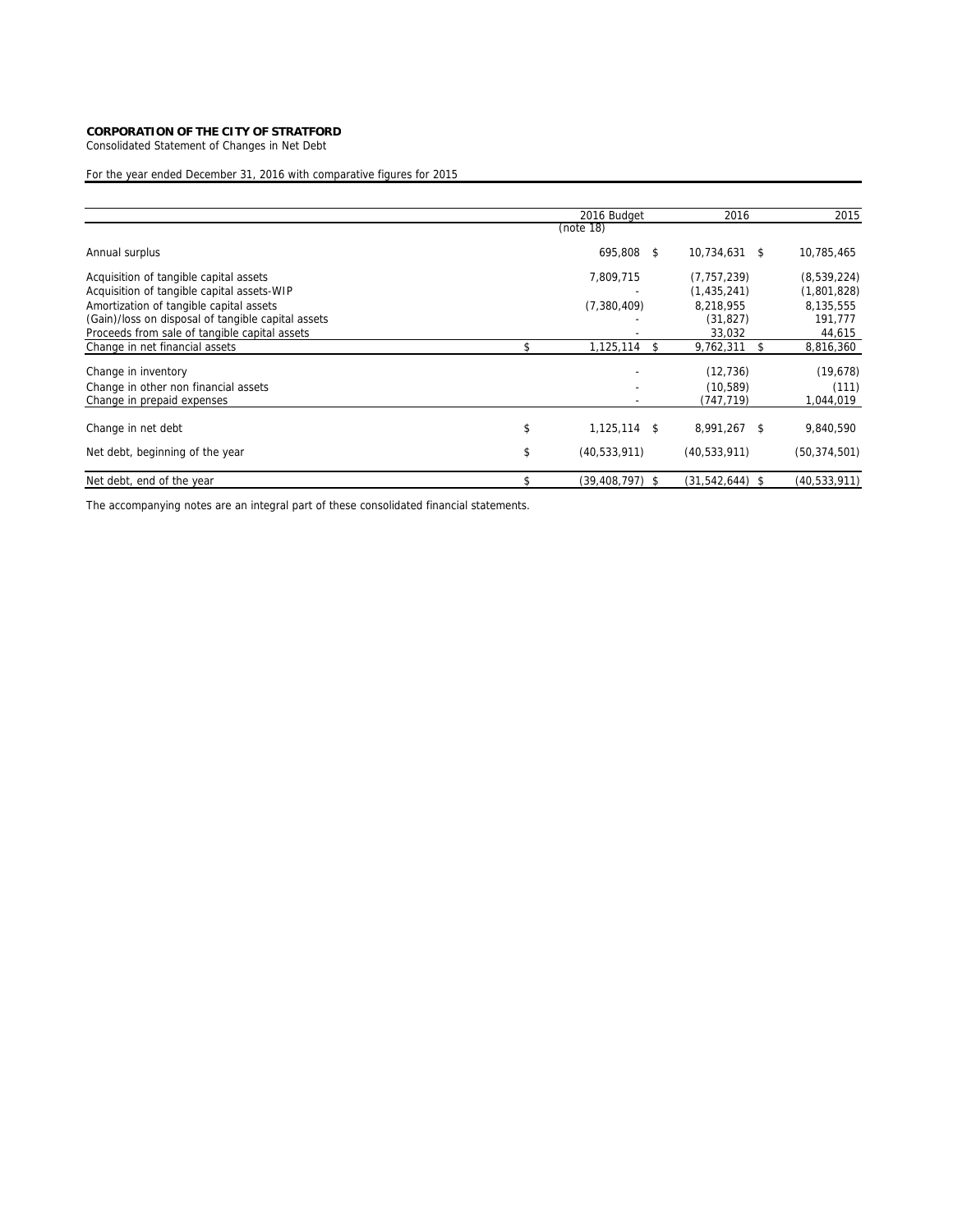Consolidated Statement of Changes in Net Debt

# For the year ended December 31, 2016 with comparative figures for 2015

|                                                                                               | 2016 Budget               |    | 2016                   |    | 2015                 |
|-----------------------------------------------------------------------------------------------|---------------------------|----|------------------------|----|----------------------|
|                                                                                               | (note 18)                 |    |                        |    |                      |
| Annual surplus                                                                                | 695,808 \$                |    | 10,734,631             | -S | 10,785,465           |
| Acquisition of tangible capital assets                                                        | 7,809,715                 |    | (7, 757, 239)          |    | (8,539,224)          |
| Acquisition of tangible capital assets-WIP                                                    |                           |    | (1,435,241)            |    | (1,801,828)          |
| Amortization of tangible capital assets<br>(Gain)/loss on disposal of tangible capital assets | (7,380,409)               |    | 8,218,955<br>(31, 827) |    | 8,135,555<br>191,777 |
| Proceeds from sale of tangible capital assets                                                 |                           |    | 33,032                 |    | 44,615               |
| Change in net financial assets                                                                | \$<br>1,125,114           | S. | 9,762,311              |    | 8,816,360            |
| Change in inventory                                                                           |                           |    | (12, 736)              |    | (19,678)             |
| Change in other non financial assets                                                          |                           |    | (10, 589)              |    | (111)                |
| Change in prepaid expenses                                                                    |                           |    | (747, 719)             |    | 1,044,019            |
| Change in net debt                                                                            | \$<br>$1,125,114$ \$      |    | 8,991,267              | -S | 9,840,590            |
| Net debt, beginning of the year                                                               | \$<br>(40, 533, 911)      |    | (40, 533, 911)         |    | (50, 374, 501)       |
| Net debt, end of the year                                                                     | \$<br>$(39, 408, 797)$ \$ |    | $(31,542,644)$ \$      |    | (40, 533, 911)       |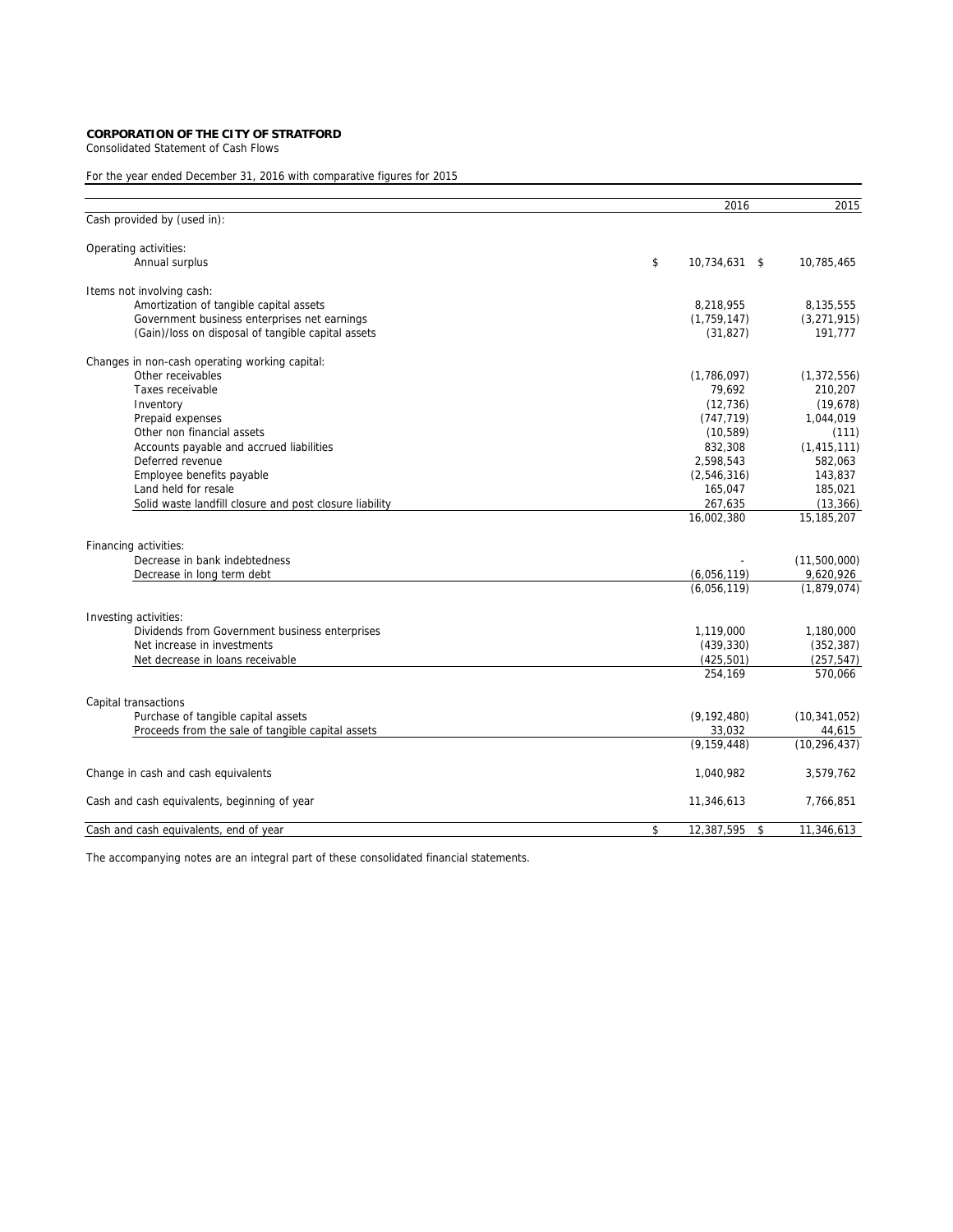Consolidated Statement of Cash Flows

# For the year ended December 31, 2016 with comparative figures for 2015

|                                                         | 2016                   | 2015           |
|---------------------------------------------------------|------------------------|----------------|
| Cash provided by (used in):                             |                        |                |
| Operating activities:                                   |                        |                |
| Annual surplus                                          | \$<br>10.734.631 \$    | 10,785,465     |
| Items not involving cash:                               |                        |                |
| Amortization of tangible capital assets                 | 8,218,955              | 8,135,555      |
| Government business enterprises net earnings            | (1,759,147)            | (3, 271, 915)  |
| (Gain)/loss on disposal of tangible capital assets      | (31, 827)              | 191,777        |
| Changes in non-cash operating working capital:          |                        |                |
| Other receivables                                       | (1,786,097)            | (1, 372, 556)  |
| Taxes receivable                                        | 79,692                 | 210,207        |
| Inventory                                               | (12, 736)              | (19,678)       |
| Prepaid expenses                                        | (747, 719)             | 1,044,019      |
| Other non financial assets                              | (10, 589)              | (111)          |
| Accounts payable and accrued liabilities                | 832,308                | (1, 415, 111)  |
| Deferred revenue                                        | 2,598,543              | 582,063        |
| Employee benefits payable                               | (2,546,316)            | 143,837        |
| Land held for resale                                    | 165,047                | 185,021        |
| Solid waste landfill closure and post closure liability | 267,635                | (13, 366)      |
|                                                         | 16,002,380             | 15,185,207     |
| Financing activities:                                   |                        |                |
| Decrease in bank indebtedness                           |                        | (11,500,000)   |
| Decrease in long term debt                              | (6,056,119)            | 9,620,926      |
|                                                         | (6,056,119)            | (1,879,074)    |
| Investing activities:                                   |                        |                |
| Dividends from Government business enterprises          | 1,119,000              | 1,180,000      |
| Net increase in investments                             | (439, 330)             | (352, 387)     |
| Net decrease in loans receivable                        | (425, 501)             | (257, 547)     |
|                                                         | 254,169                | 570,066        |
| Capital transactions                                    |                        |                |
| Purchase of tangible capital assets                     | (9, 192, 480)          | (10, 341, 052) |
| Proceeds from the sale of tangible capital assets       | 33,032                 | 44,615         |
|                                                         | (9, 159, 448)          | (10, 296, 437) |
| Change in cash and cash equivalents                     | 1,040,982              | 3,579,762      |
| Cash and cash equivalents, beginning of year            | 11,346,613             | 7,766,851      |
| Cash and cash equivalents, end of year                  | \$<br>12,387,595<br>\$ | 11,346,613     |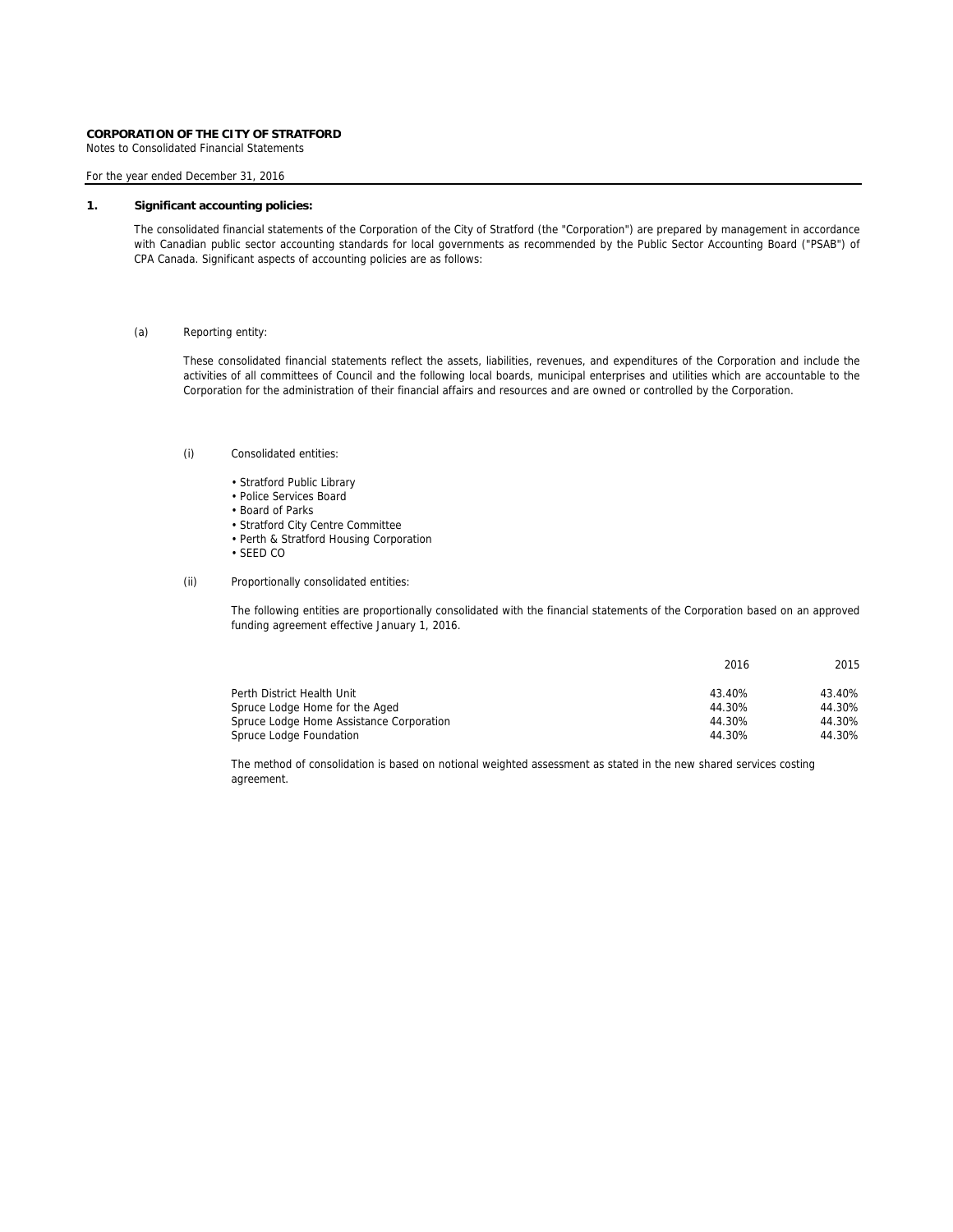Notes to Consolidated Financial Statements

### For the year ended December 31, 2016

# **1. Significant accounting policies:**

The consolidated financial statements of the Corporation of the City of Stratford (the "Corporation") are prepared by management in accordance with Canadian public sector accounting standards for local governments as recommended by the Public Sector Accounting Board ("PSAB") of CPA Canada. Significant aspects of accounting policies are as follows:

### (a) Reporting entity:

These consolidated financial statements reflect the assets, liabilities, revenues, and expenditures of the Corporation and include the activities of all committees of Council and the following local boards, municipal enterprises and utilities which are accountable to the Corporation for the administration of their financial affairs and resources and are owned or controlled by the Corporation.

### (i) Consolidated entities:

- Stratford Public Library
- Police Services Board
- Board of Parks
- Stratford City Centre Committee
- Perth & Stratford Housing Corporation
- SEED CO
- (ii) Proportionally consolidated entities:

The following entities are proportionally consolidated with the financial statements of the Corporation based on an approved funding agreement effective January 1, 2016.

|                                          | 2016   | 2015   |
|------------------------------------------|--------|--------|
| Perth District Health Unit               | 43.40% | 43.40% |
| Spruce Lodge Home for the Aged           | 44.30% | 44.30% |
| Spruce Lodge Home Assistance Corporation | 44.30% | 44.30% |
| Spruce Lodge Foundation                  | 44.30% | 44.30% |

The method of consolidation is based on notional weighted assessment as stated in the new shared services costing agreement.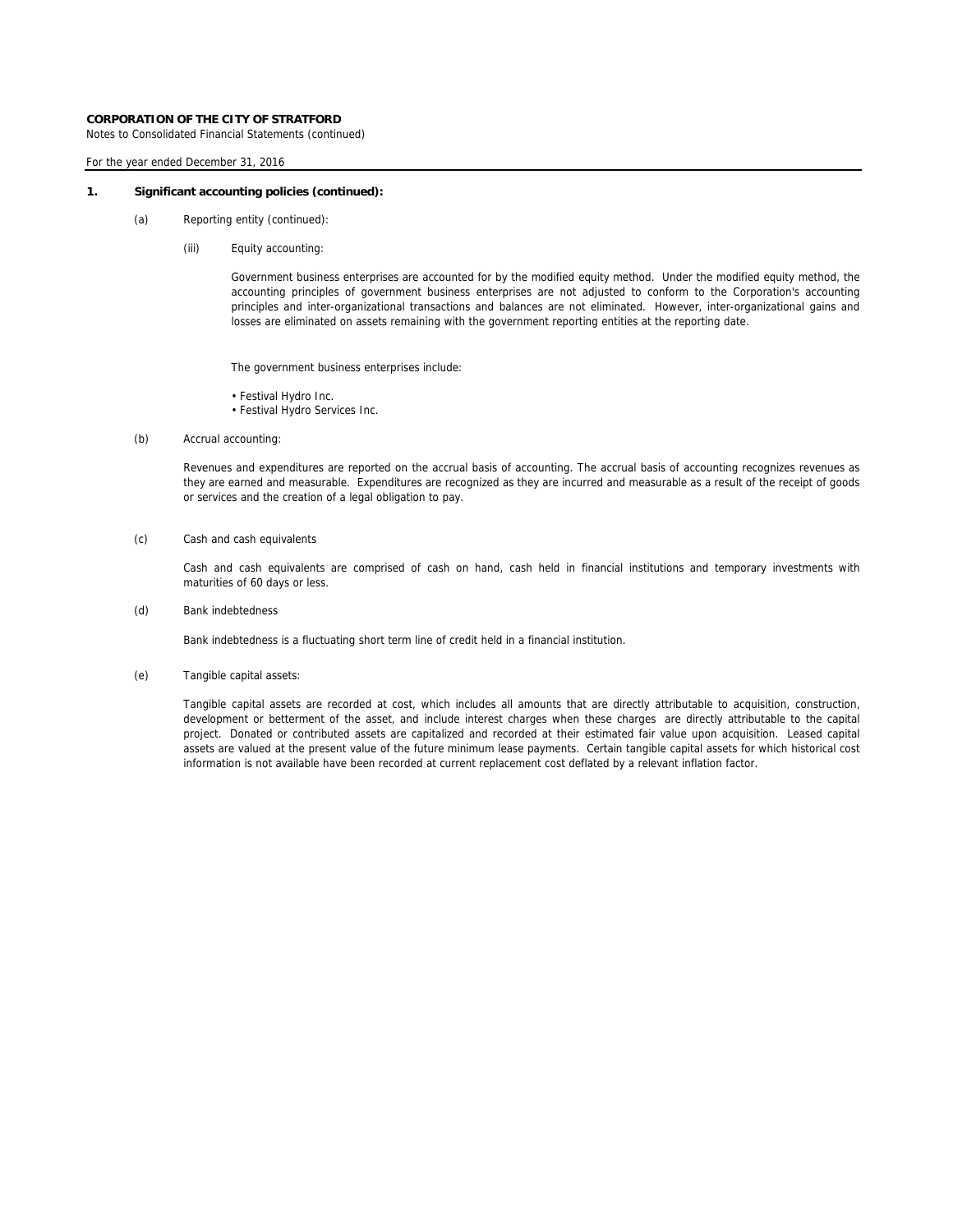Notes to Consolidated Financial Statements (continued)

### For the year ended December 31, 2016

#### **1. Significant accounting policies (continued):**

- (a) Reporting entity (continued):
	- (iii) Equity accounting:

Government business enterprises are accounted for by the modified equity method. Under the modified equity method, the accounting principles of government business enterprises are not adjusted to conform to the Corporation's accounting principles and inter-organizational transactions and balances are not eliminated. However, inter-organizational gains and losses are eliminated on assets remaining with the government reporting entities at the reporting date.

The government business enterprises include:

- Festival Hydro Inc.
- Festival Hydro Services Inc.
- (b) Accrual accounting:

Revenues and expenditures are reported on the accrual basis of accounting. The accrual basis of accounting recognizes revenues as they are earned and measurable. Expenditures are recognized as they are incurred and measurable as a result of the receipt of goods or services and the creation of a legal obligation to pay.

(c) Cash and cash equivalents

Cash and cash equivalents are comprised of cash on hand, cash held in financial institutions and temporary investments with maturities of 60 days or less.

(d) Bank indebtedness

Bank indebtedness is a fluctuating short term line of credit held in a financial institution.

(e) Tangible capital assets:

Tangible capital assets are recorded at cost, which includes all amounts that are directly attributable to acquisition, construction, development or betterment of the asset, and include interest charges when these charges are directly attributable to the capital project. Donated or contributed assets are capitalized and recorded at their estimated fair value upon acquisition. Leased capital assets are valued at the present value of the future minimum lease payments. Certain tangible capital assets for which historical cost information is not available have been recorded at current replacement cost deflated by a relevant inflation factor.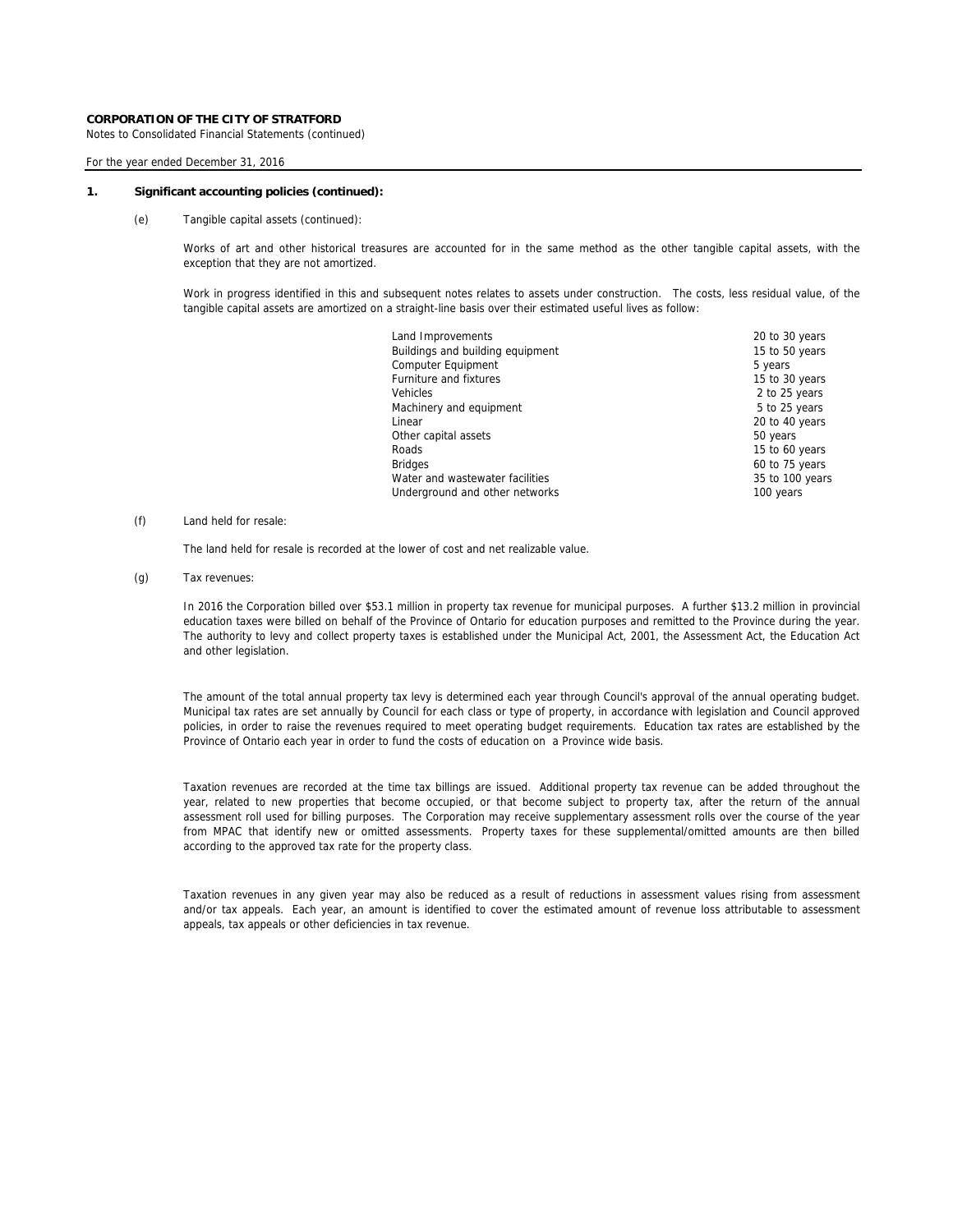Notes to Consolidated Financial Statements (continued)

### For the year ended December 31, 2016

#### **1. Significant accounting policies (continued):**

(e) Tangible capital assets (continued):

Works of art and other historical treasures are accounted for in the same method as the other tangible capital assets, with the exception that they are not amortized.

Work in progress identified in this and subsequent notes relates to assets under construction. The costs, less residual value, of the tangible capital assets are amortized on a straight-line basis over their estimated useful lives as follow:

| 20 to 30 years  |
|-----------------|
| 15 to 50 years  |
| 5 years         |
| 15 to 30 years  |
| 2 to 25 years   |
| 5 to 25 years   |
| 20 to 40 years  |
| 50 years        |
| 15 to 60 years  |
| 60 to 75 years  |
| 35 to 100 years |
| 100 years       |
|                 |

### (f) Land held for resale:

The land held for resale is recorded at the lower of cost and net realizable value.

(g) Tax revenues:

In 2016 the Corporation billed over \$53.1 million in property tax revenue for municipal purposes. A further \$13.2 million in provincial education taxes were billed on behalf of the Province of Ontario for education purposes and remitted to the Province during the year. The authority to levy and collect property taxes is established under the Municipal Act, 2001, the Assessment Act, the Education Act and other legislation.

The amount of the total annual property tax levy is determined each year through Council's approval of the annual operating budget. Municipal tax rates are set annually by Council for each class or type of property, in accordance with legislation and Council approved policies, in order to raise the revenues required to meet operating budget requirements. Education tax rates are established by the Province of Ontario each year in order to fund the costs of education on a Province wide basis.

Taxation revenues are recorded at the time tax billings are issued. Additional property tax revenue can be added throughout the year, related to new properties that become occupied, or that become subject to property tax, after the return of the annual assessment roll used for billing purposes. The Corporation may receive supplementary assessment rolls over the course of the year from MPAC that identify new or omitted assessments. Property taxes for these supplemental/omitted amounts are then billed according to the approved tax rate for the property class.

Taxation revenues in any given year may also be reduced as a result of reductions in assessment values rising from assessment and/or tax appeals. Each year, an amount is identified to cover the estimated amount of revenue loss attributable to assessment appeals, tax appeals or other deficiencies in tax revenue.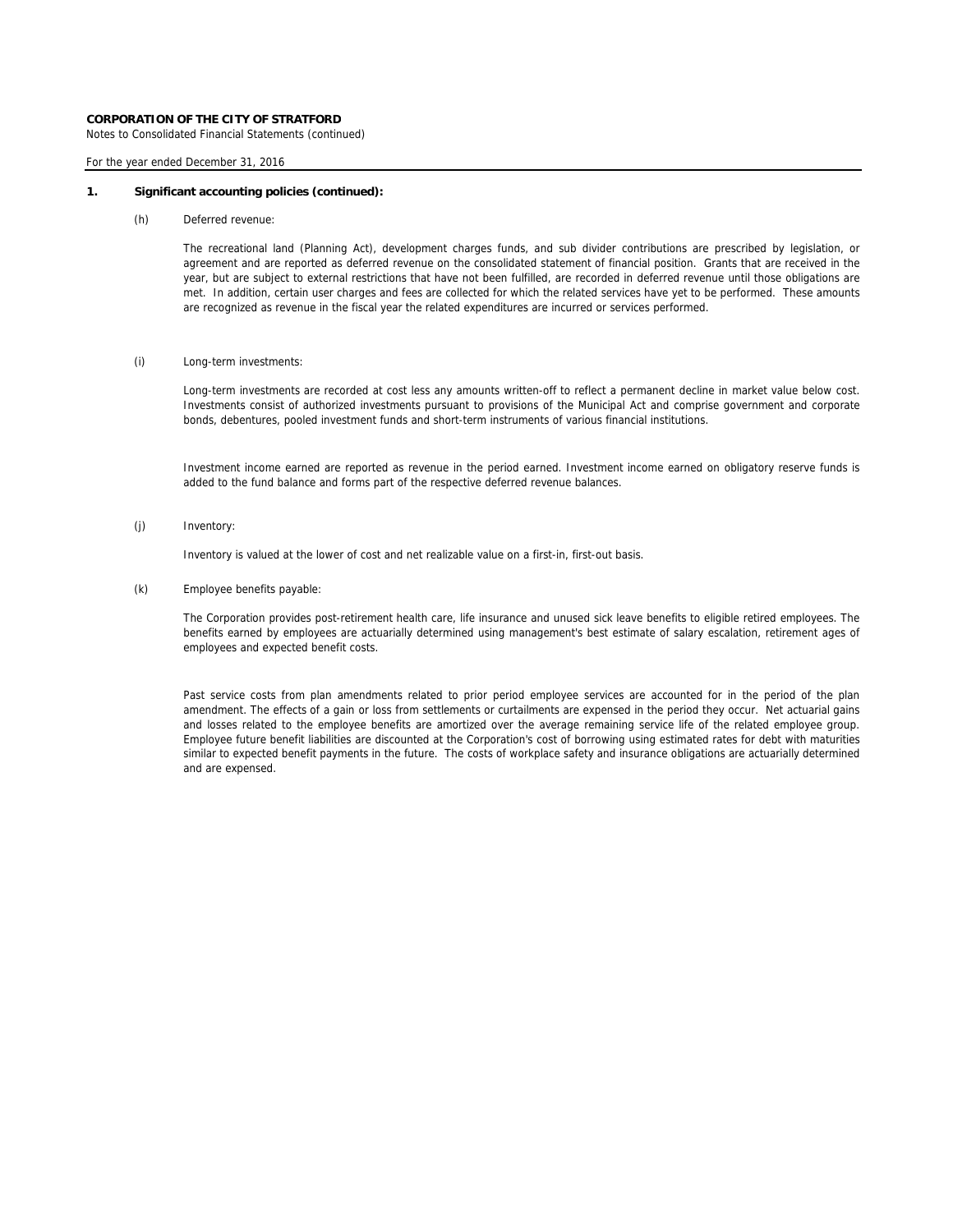Notes to Consolidated Financial Statements (continued)

### For the year ended December 31, 2016

#### **1. Significant accounting policies (continued):**

(h) Deferred revenue:

The recreational land (Planning Act), development charges funds, and sub divider contributions are prescribed by legislation, or agreement and are reported as deferred revenue on the consolidated statement of financial position. Grants that are received in the year, but are subject to external restrictions that have not been fulfilled, are recorded in deferred revenue until those obligations are met. In addition, certain user charges and fees are collected for which the related services have yet to be performed. These amounts are recognized as revenue in the fiscal year the related expenditures are incurred or services performed.

### (i) Long-term investments:

Long-term investments are recorded at cost less any amounts written-off to reflect a permanent decline in market value below cost. Investments consist of authorized investments pursuant to provisions of the Municipal Act and comprise government and corporate bonds, debentures, pooled investment funds and short-term instruments of various financial institutions.

Investment income earned are reported as revenue in the period earned. Investment income earned on obligatory reserve funds is added to the fund balance and forms part of the respective deferred revenue balances.

(j) Inventory:

Inventory is valued at the lower of cost and net realizable value on a first-in, first-out basis.

(k) Employee benefits payable:

The Corporation provides post-retirement health care, life insurance and unused sick leave benefits to eligible retired employees. The benefits earned by employees are actuarially determined using management's best estimate of salary escalation, retirement ages of employees and expected benefit costs.

Past service costs from plan amendments related to prior period employee services are accounted for in the period of the plan amendment. The effects of a gain or loss from settlements or curtailments are expensed in the period they occur. Net actuarial gains and losses related to the employee benefits are amortized over the average remaining service life of the related employee group. Employee future benefit liabilities are discounted at the Corporation's cost of borrowing using estimated rates for debt with maturities similar to expected benefit payments in the future. The costs of workplace safety and insurance obligations are actuarially determined and are expensed.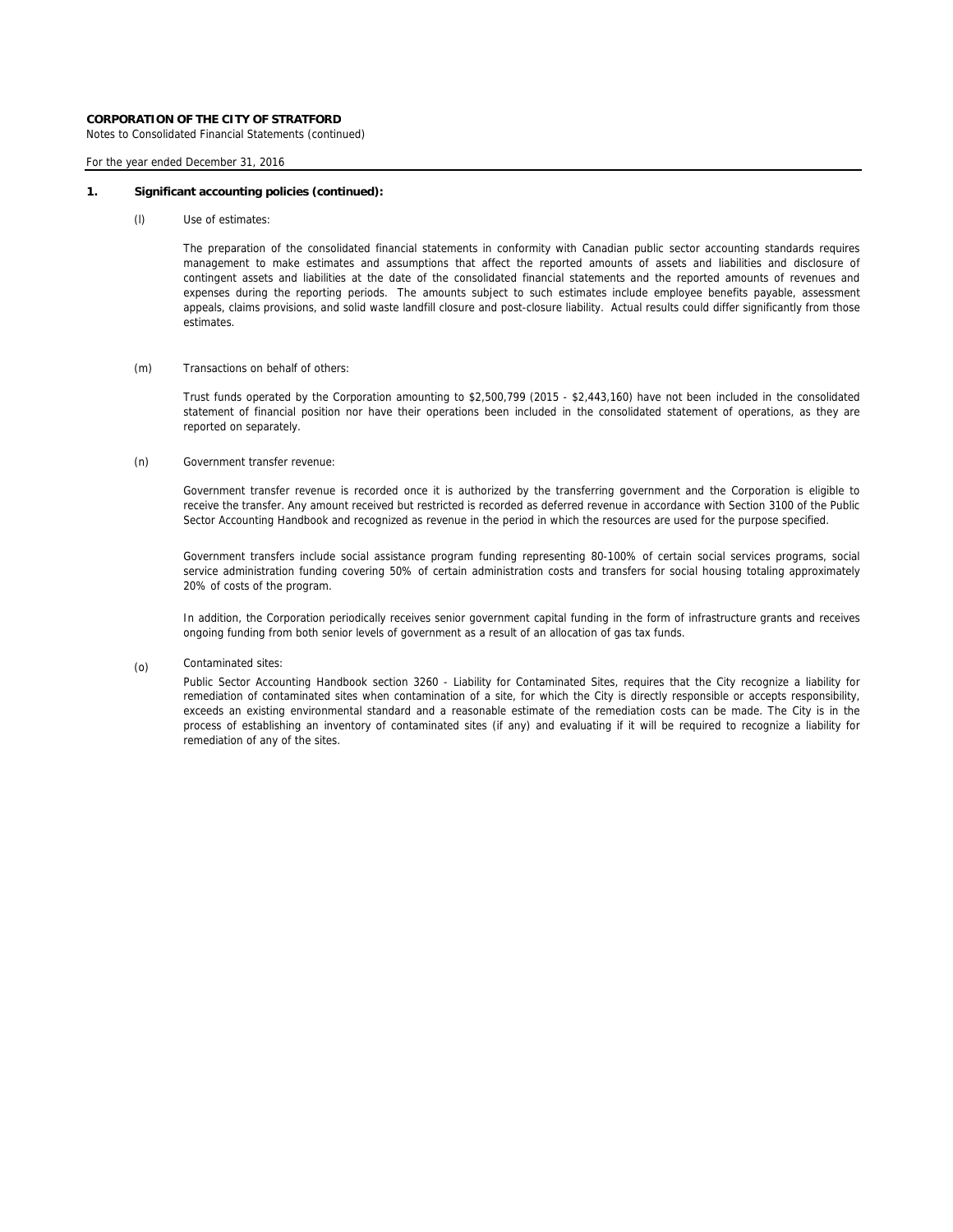Notes to Consolidated Financial Statements (continued)

For the year ended December 31, 2016

#### **1. Significant accounting policies (continued):**

(l) Use of estimates:

The preparation of the consolidated financial statements in conformity with Canadian public sector accounting standards requires management to make estimates and assumptions that affect the reported amounts of assets and liabilities and disclosure of contingent assets and liabilities at the date of the consolidated financial statements and the reported amounts of revenues and expenses during the reporting periods. The amounts subject to such estimates include employee benefits payable, assessment appeals, claims provisions, and solid waste landfill closure and post-closure liability. Actual results could differ significantly from those estimates.

### (m) Transactions on behalf of others:

Trust funds operated by the Corporation amounting to \$2,500,799 (2015 - \$2,443,160) have not been included in the consolidated statement of financial position nor have their operations been included in the consolidated statement of operations, as they are reported on separately.

#### (n) Government transfer revenue:

Government transfer revenue is recorded once it is authorized by the transferring government and the Corporation is eligible to receive the transfer. Any amount received but restricted is recorded as deferred revenue in accordance with Section 3100 of the Public Sector Accounting Handbook and recognized as revenue in the period in which the resources are used for the purpose specified.

Government transfers include social assistance program funding representing 80-100% of certain social services programs, social service administration funding covering 50% of certain administration costs and transfers for social housing totaling approximately 20% of costs of the program.

In addition, the Corporation periodically receives senior government capital funding in the form of infrastructure grants and receives ongoing funding from both senior levels of government as a result of an allocation of gas tax funds.

(o) Contaminated sites:

> Public Sector Accounting Handbook section 3260 - Liability for Contaminated Sites, requires that the City recognize a liability for remediation of contaminated sites when contamination of a site, for which the City is directly responsible or accepts responsibility, exceeds an existing environmental standard and a reasonable estimate of the remediation costs can be made. The City is in the process of establishing an inventory of contaminated sites (if any) and evaluating if it will be required to recognize a liability for remediation of any of the sites.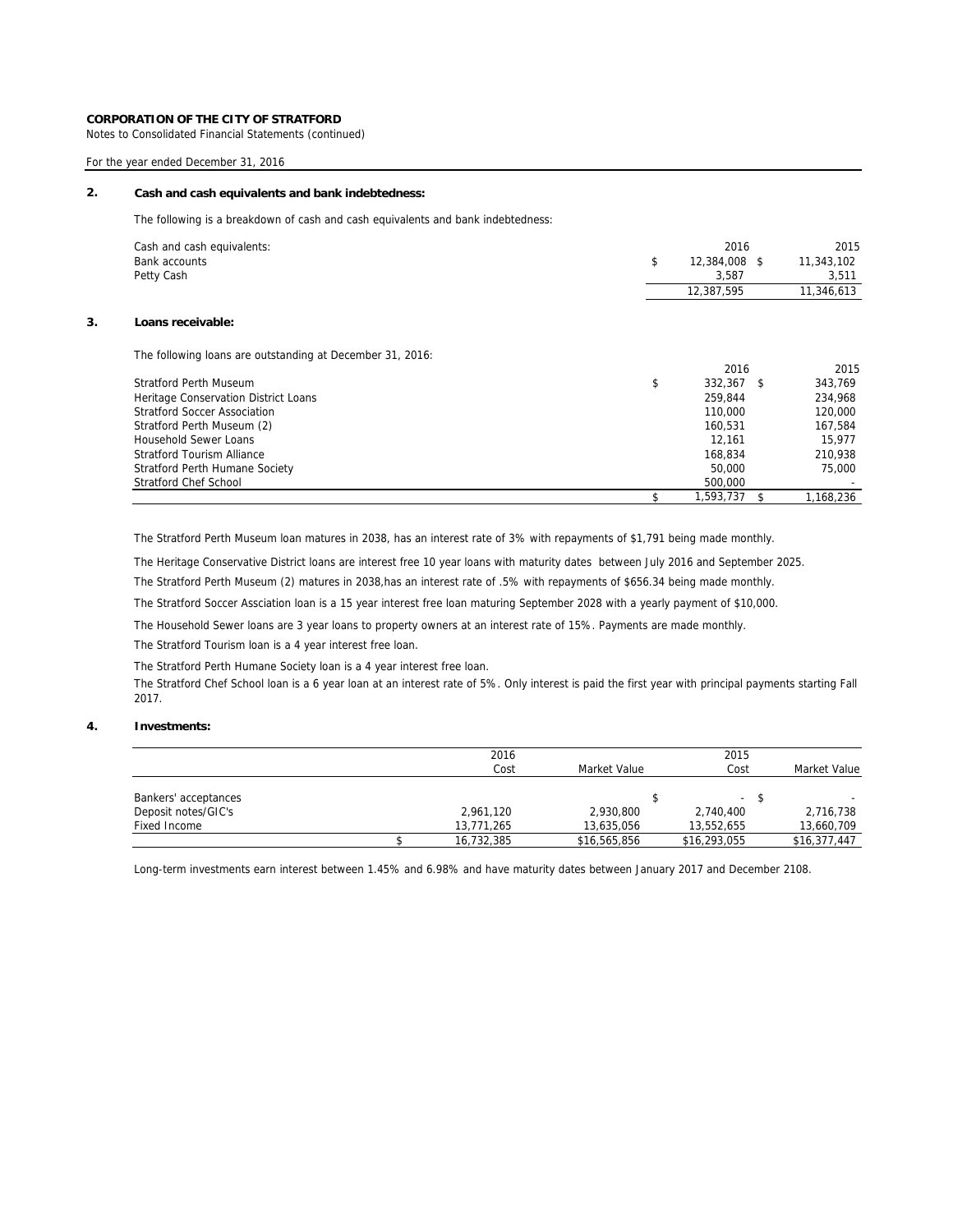Notes to Consolidated Financial Statements (continued)

# For the year ended December 31, 2016

#### **2. Cash and cash equivalents and bank indebtedness:**

The following is a breakdown of cash and cash equivalents and bank indebtedness:

| Cash and cash equivalents:<br>Bank accounts | 2016<br>12,384,008 \$ | 2015<br>11,343,102 |
|---------------------------------------------|-----------------------|--------------------|
| Petty Cash                                  | 3.587                 | 3,511              |
|                                             | 12,387,595            | 11,346,613         |
|                                             |                       |                    |

# **3. Loans receivable:**

The following loans are outstanding at December 31, 2016:

|                                      | 2016          | 2015     |
|--------------------------------------|---------------|----------|
| <b>Stratford Perth Museum</b>        | \$<br>332.367 | 343.769  |
| Heritage Conservation District Loans | 259.844       | 234.968  |
| <b>Stratford Soccer Association</b>  | 110,000       | 120,000  |
| Stratford Perth Museum (2)           | 160.531       | 167.584  |
| Household Sewer Loans                | 12.161        | 15.977   |
| <b>Stratford Tourism Alliance</b>    | 168.834       | 210.938  |
| Stratford Perth Humane Society       | 50,000        | 75,000   |
| Stratford Chef School                | 500,000       |          |
|                                      | 1.593.737     | .168.236 |

The Stratford Perth Museum loan matures in 2038, has an interest rate of 3% with repayments of \$1,791 being made monthly.

The Heritage Conservative District loans are interest free 10 year loans with maturity dates between July 2016 and September 2025.

The Stratford Perth Museum (2) matures in 2038,has an interest rate of .5% with repayments of \$656.34 being made monthly.

The Stratford Soccer Assciation loan is a 15 year interest free loan maturing September 2028 with a yearly payment of \$10,000.

The Household Sewer loans are 3 year loans to property owners at an interest rate of 15%. Payments are made monthly.

The Stratford Tourism loan is a 4 year interest free loan.

The Stratford Perth Humane Society loan is a 4 year interest free loan.

The Stratford Chef School loan is a 6 year loan at an interest rate of 5%. Only interest is paid the first year with principal payments starting Fall 2017.

# **4. Investments:**

|                      | 2016<br>Cost | Market Value | 2015<br>Cost             | Market Value |
|----------------------|--------------|--------------|--------------------------|--------------|
| Bankers' acceptances |              |              | $\overline{\phantom{a}}$ | -S           |
| Deposit notes/GIC's  | 2,961,120    | 2.930.800    | 2.740.400                | 2,716,738    |
| Fixed Income         | 13.771.265   | 13.635.056   | 13.552.655               | 13,660,709   |
|                      | 16.732.385   | \$16,565,856 | \$16,293,055             | \$16,377,447 |

Long-term investments earn interest between 1.45% and 6.98% and have maturity dates between January 2017 and December 2108.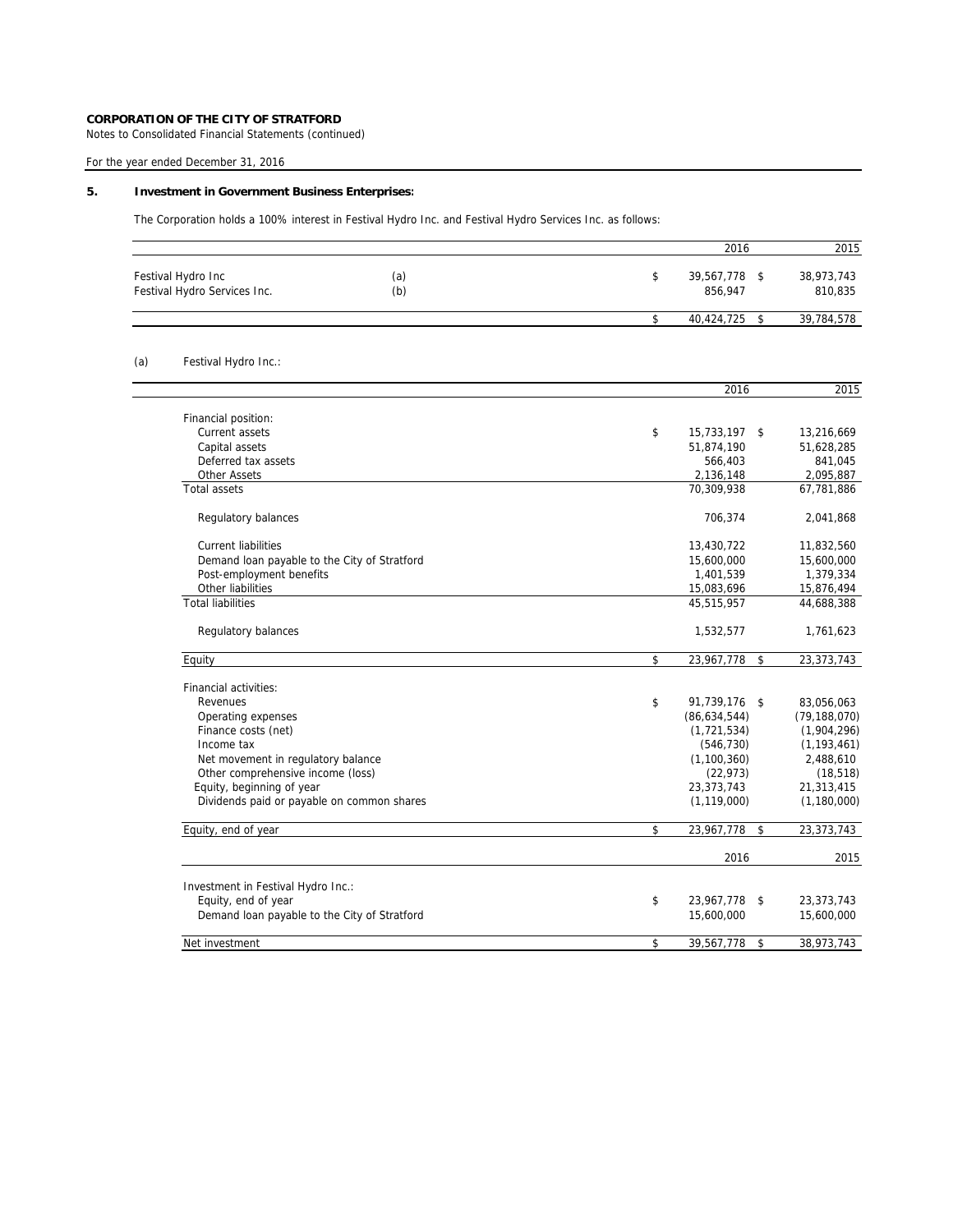Notes to Consolidated Financial Statements (continued)

# For the year ended December 31, 2016

# **5. Investment in Government Business Enterprises:**

The Corporation holds a 100% interest in Festival Hydro Inc. and Festival Hydro Services Inc. as follows:

|     |                                                    |            | 2016                              | 2015                  |
|-----|----------------------------------------------------|------------|-----------------------------------|-----------------------|
|     | Festival Hydro Inc<br>Festival Hydro Services Inc. | (a)<br>(b) | \$<br>39,567,778<br>\$<br>856,947 | 38,973,743<br>810,835 |
|     |                                                    |            | \$<br>40,424,725<br>\$            | 39,784,578            |
| (a) | Festival Hydro Inc.:                               |            |                                   |                       |
|     |                                                    |            | 2016                              | 2015                  |
|     | Financial position:                                |            |                                   |                       |
|     | Current assets                                     |            | \$<br>15,733,197<br>\$            | 13,216,669            |
|     | Capital assets                                     |            | 51,874,190                        | 51,628,285            |
|     | Deferred tax assets                                |            | 566,403                           | 841,045               |
|     | <b>Other Assets</b>                                |            | 2,136,148                         | 2,095,887             |
|     | <b>Total assets</b>                                |            | 70,309,938                        | 67,781,886            |
|     | Regulatory balances                                |            | 706,374                           | 2,041,868             |
|     | <b>Current liabilities</b>                         |            | 13,430,722                        | 11,832,560            |
|     | Demand loan payable to the City of Stratford       |            | 15,600,000                        | 15,600,000            |
|     | Post-employment benefits                           |            | 1,401,539                         | 1,379,334             |
|     | Other liabilities                                  |            | 15,083,696                        | 15,876,494            |
|     | <b>Total liabilities</b>                           |            | 45,515,957                        | 44,688,388            |
|     | Regulatory balances                                |            | 1,532,577                         | 1,761,623             |
|     | Equity                                             |            | \$<br>23,967,778<br>\$            | 23,373,743            |
|     | Financial activities:                              |            |                                   |                       |
|     | Revenues                                           |            | \$<br>91,739,176 \$               | 83,056,063            |
|     | Operating expenses                                 |            | (86, 634, 544)                    | (79, 188, 070)        |
|     | Finance costs (net)                                |            | (1, 721, 534)                     | (1,904,296)           |
|     | Income tax                                         |            | (546, 730)                        | (1, 193, 461)         |
|     | Net movement in regulatory balance                 |            | (1, 100, 360)                     | 2,488,610             |
|     | Other comprehensive income (loss)                  |            | (22, 973)                         | (18, 518)             |
|     | Equity, beginning of year                          |            | 23,373,743                        | 21,313,415            |
|     | Dividends paid or payable on common shares         |            | (1, 119, 000)                     | (1, 180, 000)         |
|     | Equity, end of year                                |            | \$<br>23,967,778<br>\$            | 23,373,743            |
|     |                                                    |            | 2016                              | 2015                  |
|     | Investment in Festival Hydro Inc.:                 |            |                                   |                       |
|     | Equity, end of year                                |            | \$<br>23,967,778<br>\$            | 23,373,743            |
|     | Demand loan payable to the City of Stratford       |            | 15,600,000                        | 15,600,000            |
|     | Net investment                                     |            | \$<br>39,567,778<br>\$            | 38,973,743            |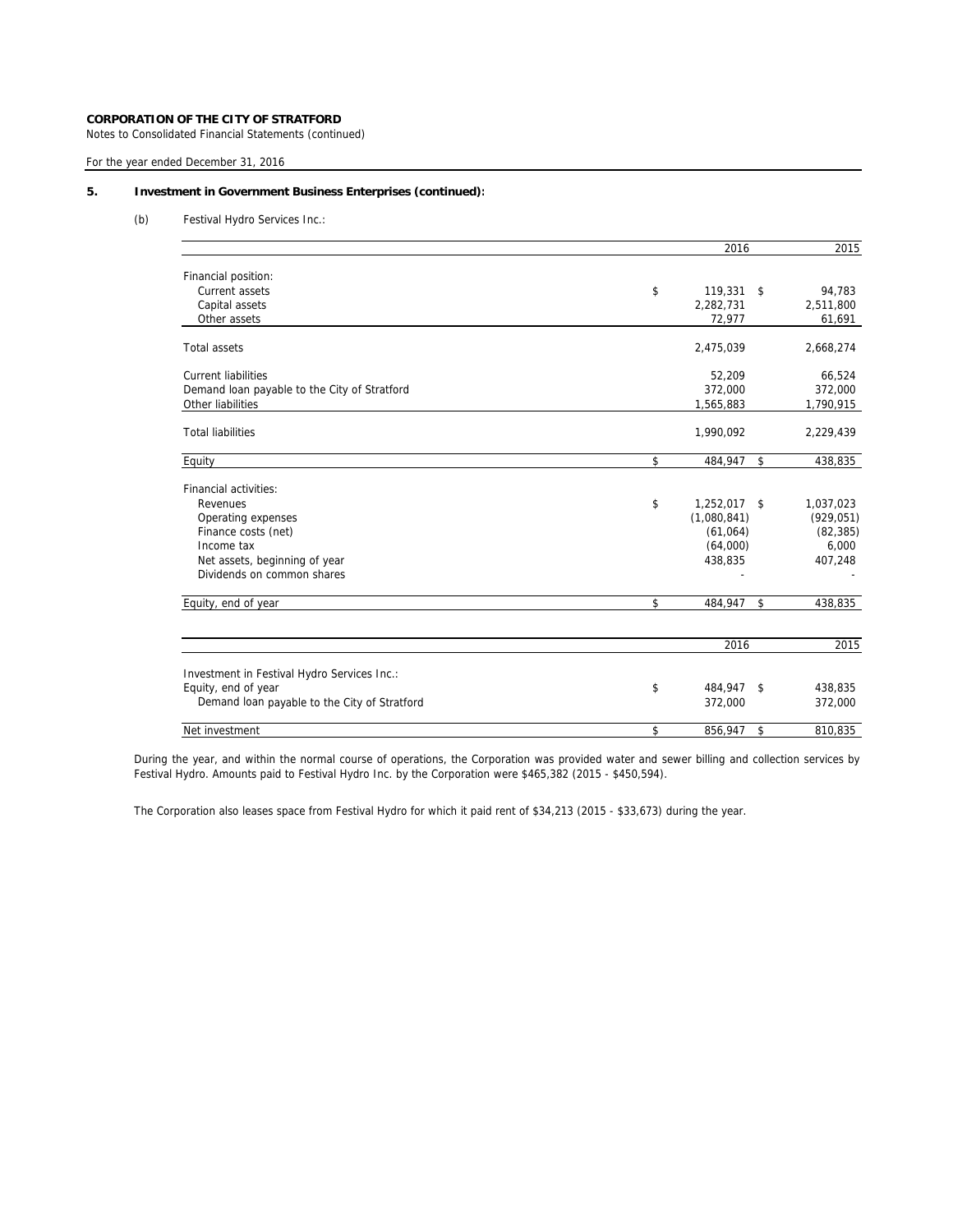Notes to Consolidated Financial Statements (continued)

For the year ended December 31, 2016

# **5. Investment in Government Business Enterprises (continued):**

(b) Festival Hydro Services Inc.:

|                                              | 2016               |            | 2015       |
|----------------------------------------------|--------------------|------------|------------|
| Financial position:                          |                    |            |            |
| Current assets                               | \$<br>119,331      | $^{\circ}$ | 94,783     |
| Capital assets                               | 2,282,731          |            | 2,511,800  |
| Other assets                                 | 72,977             |            | 61,691     |
| <b>Total assets</b>                          | 2,475,039          |            | 2,668,274  |
| <b>Current liabilities</b>                   | 52,209             |            | 66,524     |
| Demand loan payable to the City of Stratford | 372,000            |            | 372,000    |
| Other liabilities                            | 1,565,883          |            | 1,790,915  |
| <b>Total liabilities</b>                     | 1,990,092          |            | 2,229,439  |
| Equity                                       | \$<br>484,947      | \$         | 438,835    |
| Financial activities:                        |                    |            |            |
| Revenues                                     | \$<br>1,252,017 \$ |            | 1,037,023  |
| Operating expenses                           | (1,080,841)        |            | (929, 051) |
| Finance costs (net)                          | (61,064)           |            | (82, 385)  |
| Income tax                                   | (64,000)           |            | 6,000      |
| Net assets, beginning of year                | 438,835            |            | 407,248    |
| Dividends on common shares                   |                    |            |            |
| Equity, end of year                          | \$<br>484,947      | \$         | 438,835    |
|                                              | 2016               |            | 2015       |
| Investment in Festival Hydro Services Inc.:  |                    |            |            |
| Equity, end of year                          | \$<br>484,947 \$   |            | 438,835    |
| Demand loan payable to the City of Stratford | 372,000            |            | 372,000    |
| Net investment                               | \$<br>856,947      | \$         | 810,835    |

During the year, and within the normal course of operations, the Corporation was provided water and sewer billing and collection services by Festival Hydro. Amounts paid to Festival Hydro Inc. by the Corporation were \$465,382 (2015 - \$450,594).

The Corporation also leases space from Festival Hydro for which it paid rent of \$34,213 (2015 - \$33,673) during the year.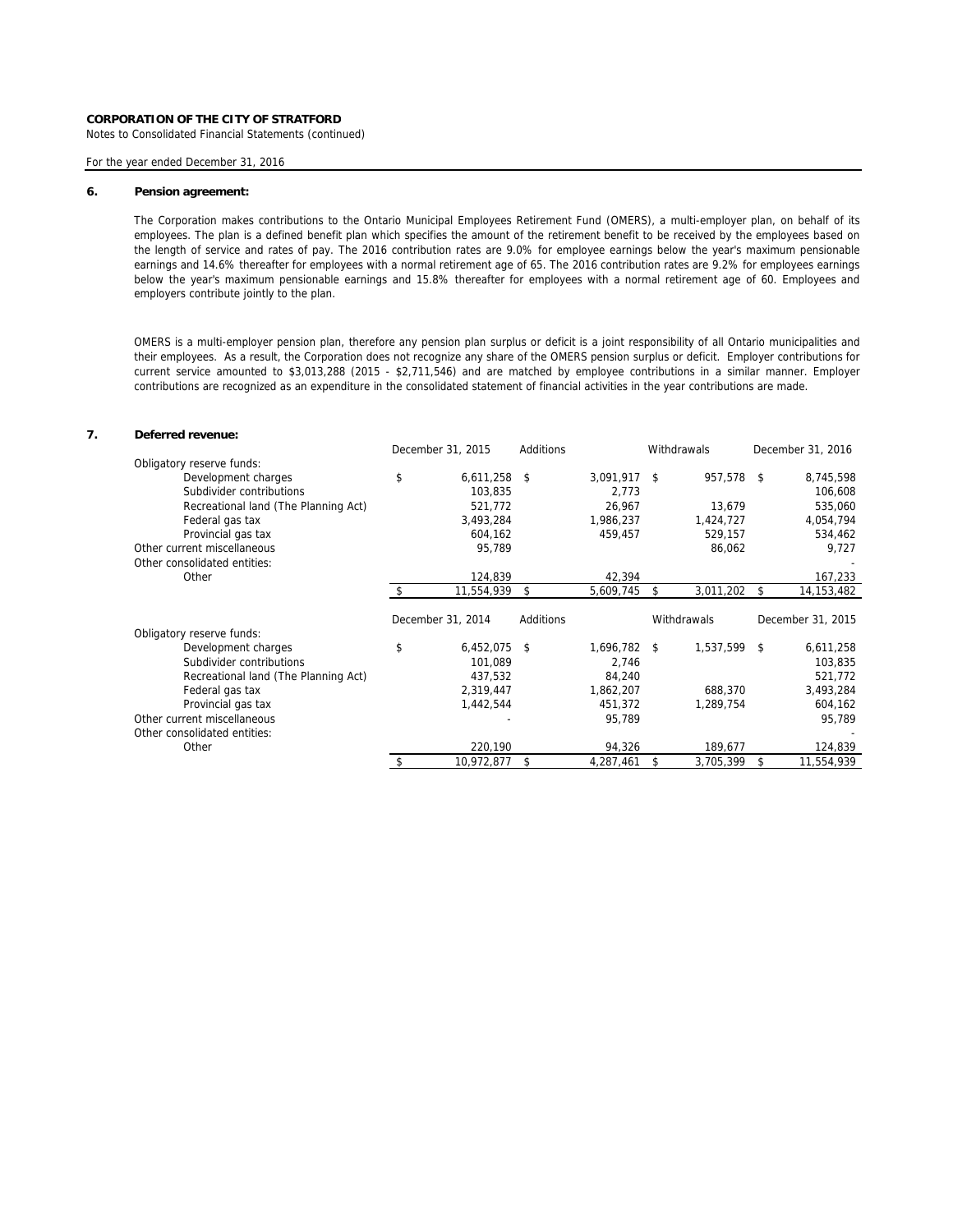Notes to Consolidated Financial Statements (continued)

For the year ended December 31, 2016

#### **6. Pension agreement:**

The Corporation makes contributions to the Ontario Municipal Employees Retirement Fund (OMERS), a multi-employer plan, on behalf of its employees. The plan is a defined benefit plan which specifies the amount of the retirement benefit to be received by the employees based on the length of service and rates of pay. The 2016 contribution rates are 9.0% for employee earnings below the year's maximum pensionable earnings and 14.6% thereafter for employees with a normal retirement age of 65. The 2016 contribution rates are 9.2% for employees earnings below the year's maximum pensionable earnings and 15.8% thereafter for employees with a normal retirement age of 60. Employees and employers contribute jointly to the plan.

OMERS is a multi-employer pension plan, therefore any pension plan surplus or deficit is a joint responsibility of all Ontario municipalities and their employees. As a result, the Corporation does not recognize any share of the OMERS pension surplus or deficit. Employer contributions for current service amounted to \$3,013,288 (2015 - \$2,711,546) and are matched by employee contributions in a similar manner. Employer contributions are recognized as an expenditure in the consolidated statement of financial activities in the year contributions are made.

# **7. Deferred revenue:**

|                                      | December 31, 2015    | Additions |              | Withdrawals     | December 31, 2016 |
|--------------------------------------|----------------------|-----------|--------------|-----------------|-------------------|
| Obligatory reserve funds:            |                      |           |              |                 |                   |
| Development charges                  | \$<br>$6,611,258$ \$ |           | 3,091,917 \$ | 957,578 \$      | 8,745,598         |
| Subdivider contributions             | 103,835              |           | 2,773        |                 | 106,608           |
| Recreational land (The Planning Act) | 521,772              |           | 26,967       | 13,679          | 535,060           |
| Federal gas tax                      | 3,493,284            |           | 1,986,237    | 1,424,727       | 4,054,794         |
| Provincial gas tax                   | 604,162              |           | 459,457      | 529,157         | 534,462           |
| Other current miscellaneous          | 95,789               |           |              | 86,062          | 9,727             |
| Other consolidated entities:         |                      |           |              |                 |                   |
| Other                                | 124,839              |           | 42,394       |                 | 167,233           |
|                                      | 11,554,939           | -S        | 5,609,745    | \$<br>3,011,202 | \$<br>14,153,482  |
|                                      |                      |           |              |                 |                   |
|                                      |                      |           |              |                 |                   |
|                                      | December 31, 2014    | Additions |              | Withdrawals     | December 31, 2015 |
| Obligatory reserve funds:            |                      |           |              |                 |                   |
| Development charges                  | \$<br>$6,452,075$ \$ |           | 1,696,782 \$ | 1,537,599 \$    | 6,611,258         |
| Subdivider contributions             | 101.089              |           | 2,746        |                 | 103,835           |
| Recreational land (The Planning Act) | 437,532              |           | 84,240       |                 | 521,772           |
| Federal gas tax                      | 2,319,447            |           | 1,862,207    | 688,370         | 3,493,284         |
| Provincial gas tax                   | 1,442,544            |           | 451,372      | 1,289,754       | 604,162           |
| Other current miscellaneous          |                      |           | 95,789       |                 | 95,789            |
| Other consolidated entities:         |                      |           |              |                 |                   |
| Other                                | 220,190              |           | 94,326       | 189,677         | 124,839           |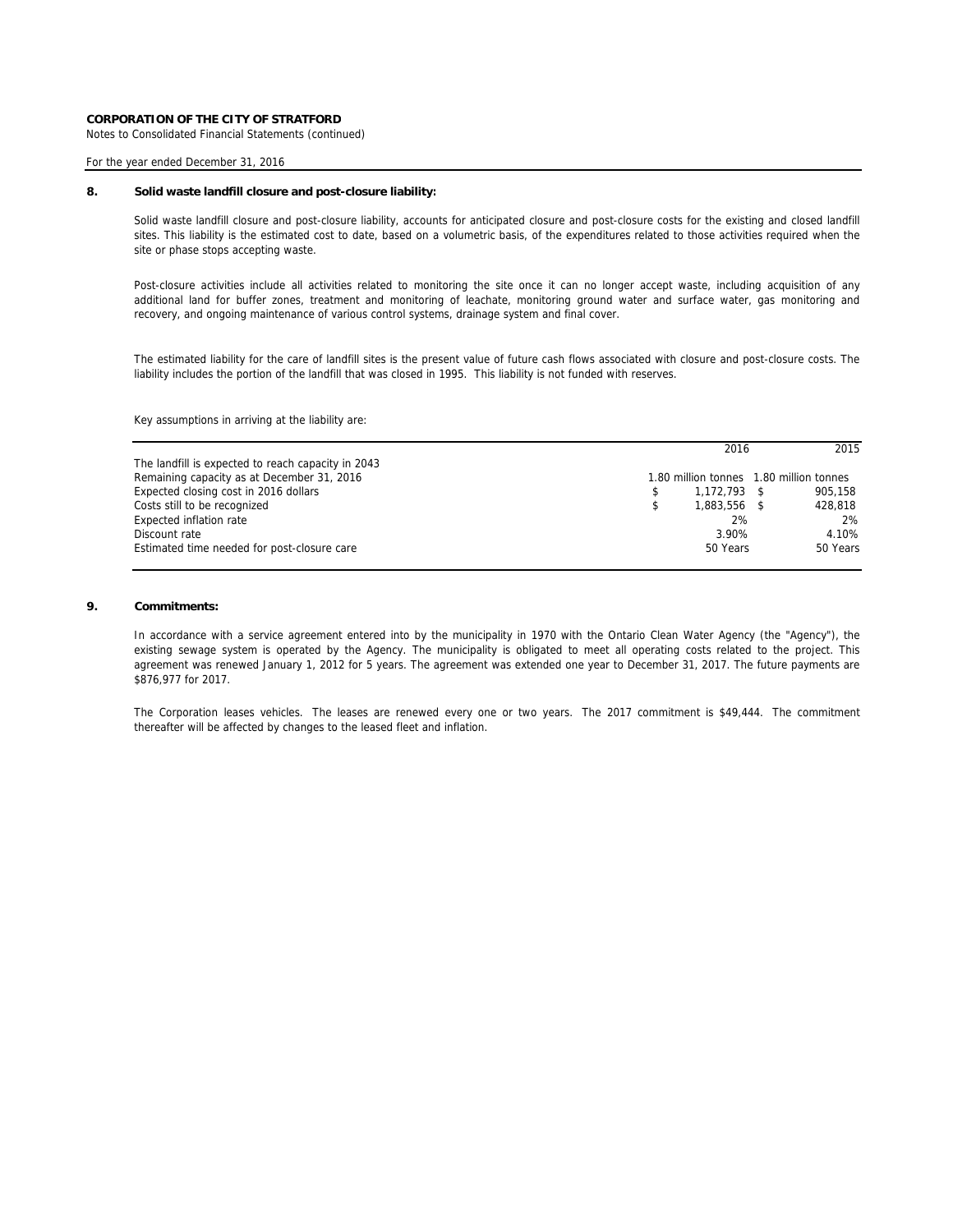Notes to Consolidated Financial Statements (continued)

### For the year ended December 31, 2016

# **8. Solid waste landfill closure and post-closure liability:**

Solid waste landfill closure and post-closure liability, accounts for anticipated closure and post-closure costs for the existing and closed landfill sites. This liability is the estimated cost to date, based on a volumetric basis, of the expenditures related to those activities required when the site or phase stops accepting waste.

Post-closure activities include all activities related to monitoring the site once it can no longer accept waste, including acquisition of any additional land for buffer zones, treatment and monitoring of leachate, monitoring ground water and surface water, gas monitoring and recovery, and ongoing maintenance of various control systems, drainage system and final cover.

The estimated liability for the care of landfill sites is the present value of future cash flows associated with closure and post-closure costs. The liability includes the portion of the landfill that was closed in 1995. This liability is not funded with reserves.

Key assumptions in arriving at the liability are:

|                                                    | 2016           | 2015                                    |
|----------------------------------------------------|----------------|-----------------------------------------|
| The landfill is expected to reach capacity in 2043 |                |                                         |
| Remaining capacity as at December 31, 2016         |                | 1.80 million tonnes 1.80 million tonnes |
| Expected closing cost in 2016 dollars              | $1.172.793$ \$ | 905.158                                 |
| Costs still to be recognized                       | 1.883.556      | 428.818                                 |
| Expected inflation rate                            | 2%             | 2%                                      |
| Discount rate                                      | 3.90%          | 4.10%                                   |
| Estimated time needed for post-closure care        | 50 Years       | 50 Years                                |

# **9. Commitments:**

In accordance with a service agreement entered into by the municipality in 1970 with the Ontario Clean Water Agency (the "Agency"), the existing sewage system is operated by the Agency. The municipality is obligated to meet all operating costs related to the project. This agreement was renewed January 1, 2012 for 5 years. The agreement was extended one year to December 31, 2017. The future payments are \$876,977 for 2017.

The Corporation leases vehicles. The leases are renewed every one or two years. The 2017 commitment is \$49,444. The commitment thereafter will be affected by changes to the leased fleet and inflation.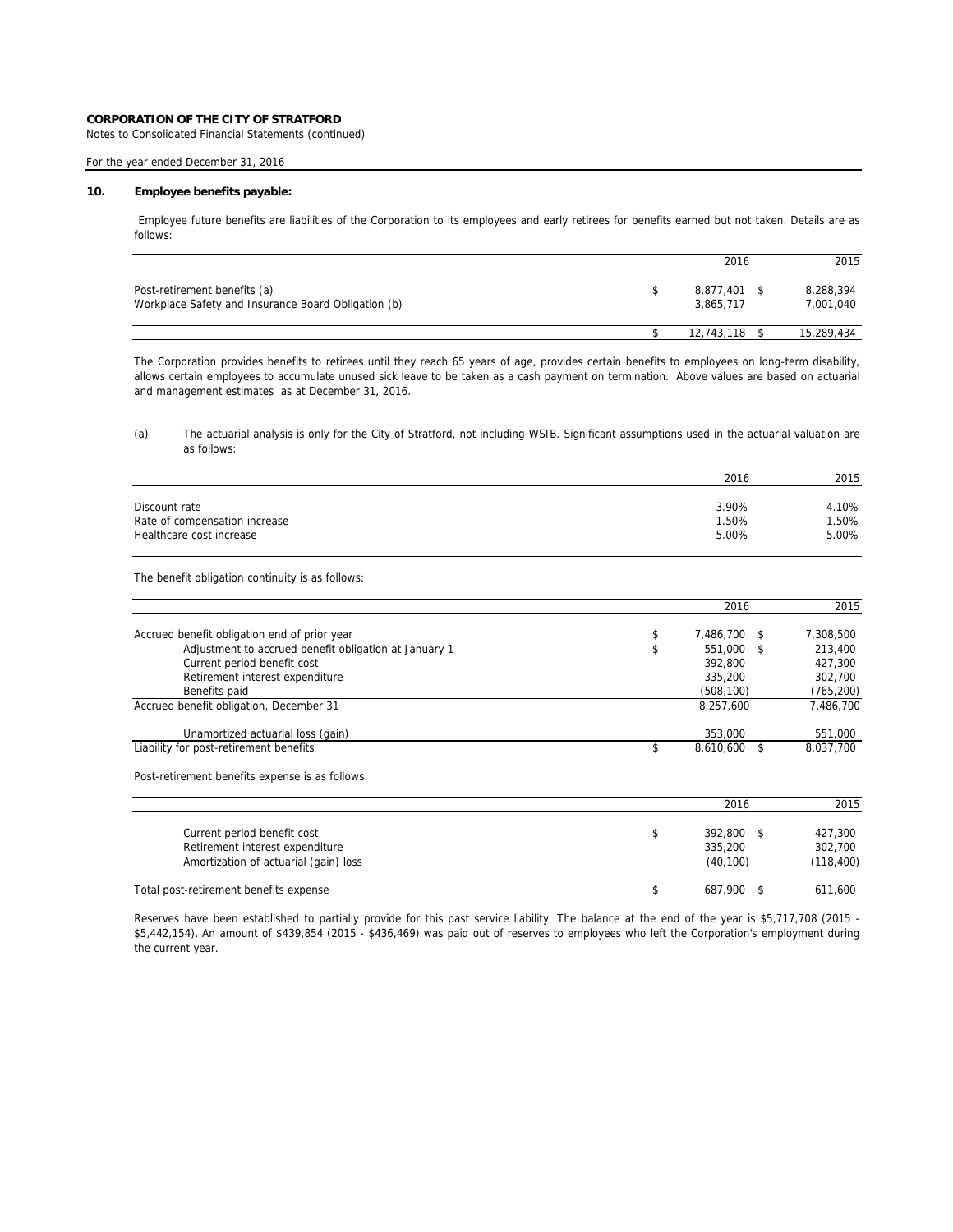Notes to Consolidated Financial Statements (continued)

# For the year ended December 31, 2016

### **10. Employee benefits payable:**

Employee future benefits are liabilities of the Corporation to its employees and early retirees for benefits earned but not taken. Details are as follows:

|                                                                                     | 2016                   | 2015                   |
|-------------------------------------------------------------------------------------|------------------------|------------------------|
| Post-retirement benefits (a)<br>Workplace Safety and Insurance Board Obligation (b) | 8.877.401<br>3.865.717 | 8,288,394<br>7,001,040 |
|                                                                                     | 12,743,118             | 15,289,434             |

The Corporation provides benefits to retirees until they reach 65 years of age, provides certain benefits to employees on long-term disability, allows certain employees to accumulate unused sick leave to be taken as a cash payment on termination. Above values are based on actuarial and management estimates as at December 31, 2016.

(a) The actuarial analysis is only for the City of Stratford, not including WSIB. Significant assumptions used in the actuarial valuation are as follows:

|                               | 2016  | 2015  |
|-------------------------------|-------|-------|
|                               |       |       |
| Discount rate                 | 3.90% | 4.10% |
| Rate of compensation increase | 1.50% | 1.50% |
| Healthcare cost increase      | 5.00% | 5.00% |

The benefit obligation continuity is as follows:

|                                                       | 2016            | 2015       |
|-------------------------------------------------------|-----------------|------------|
| Accrued benefit obligation end of prior year          | 7.486.700 \$    | 7,308,500  |
| Adjustment to accrued benefit obligation at January 1 | 551,000<br>- \$ | 213,400    |
| Current period benefit cost                           | 392.800         | 427.300    |
| Retirement interest expenditure                       | 335,200         | 302,700    |
| Benefits paid                                         | (508, 100)      | (765, 200) |
| Accrued benefit obligation, December 31               | 8,257,600       | 7,486,700  |
| Unamortized actuarial loss (gain)                     | 353,000         | 551,000    |
| Liability for post-retirement benefits                | 8.610.600       | 8.037.700  |

Post-retirement benefits expense is as follows:

|                                        | 2016     | 2015       |
|----------------------------------------|----------|------------|
|                                        |          |            |
| Current period benefit cost            | 392.800  | 427.300    |
| Retirement interest expenditure        | 335,200  | 302.700    |
| Amortization of actuarial (gain) loss  | (40.100) | (118, 400) |
| Total post-retirement benefits expense | 687.900  | 611,600    |

Reserves have been established to partially provide for this past service liability. The balance at the end of the year is \$5,717,708 (2015 - \$5,442,154). An amount of \$439,854 (2015 - \$436,469) was paid out of reserves to employees who left the Corporation's employment during the current year.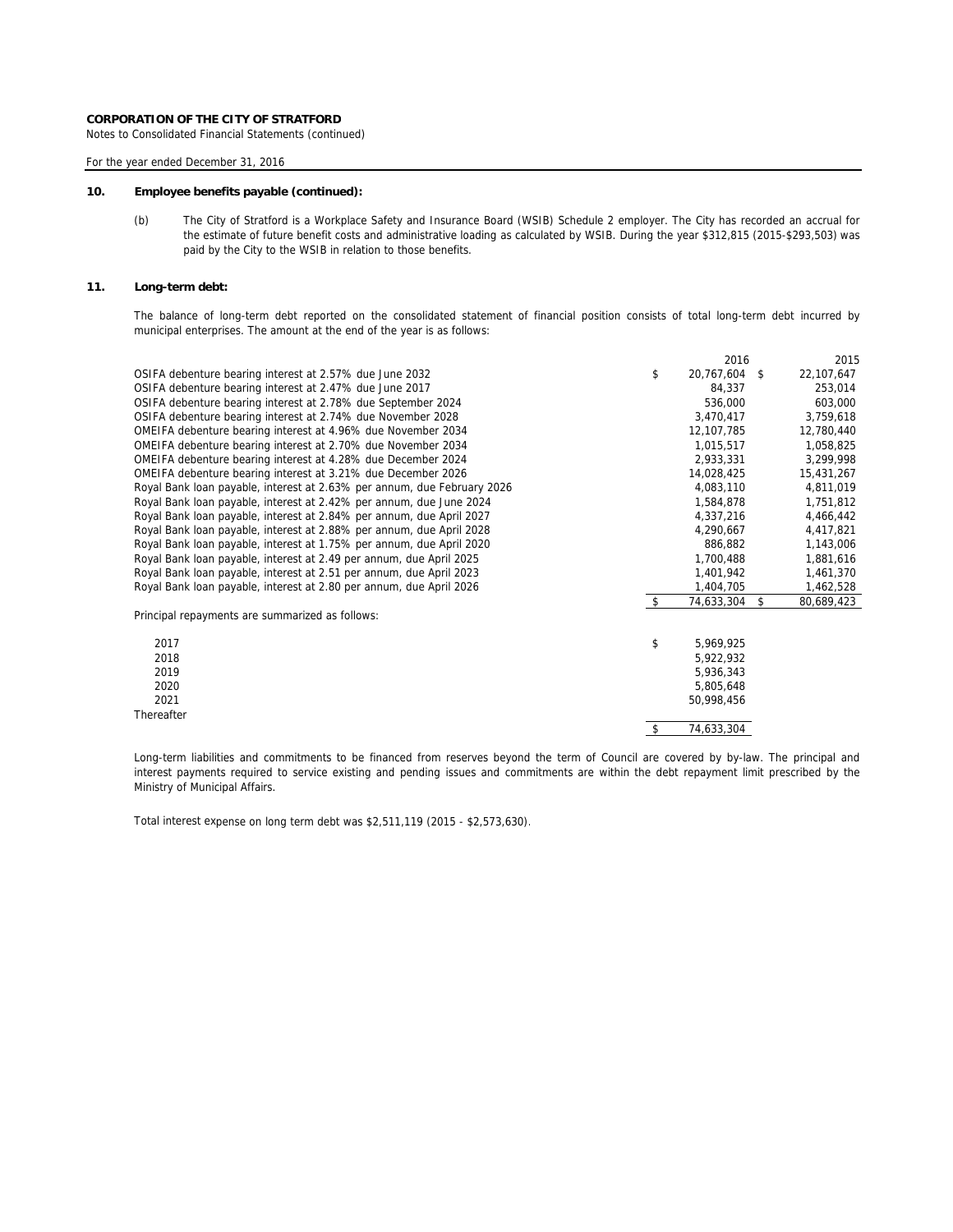Notes to Consolidated Financial Statements (continued)

For the year ended December 31, 2016

### **10. Employee benefits payable (continued):**

(b) The City of Stratford is a Workplace Safety and Insurance Board (WSIB) Schedule 2 employer. The City has recorded an accrual for the estimate of future benefit costs and administrative loading as calculated by WSIB. During the year \$312,815 (2015-\$293,503) was paid by the City to the WSIB in relation to those benefits.

### **11. Long-term debt:**

The balance of long-term debt reported on the consolidated statement of financial position consists of total long-term debt incurred by municipal enterprises. The amount at the end of the year is as follows:

|                                                                         |                    | 2016       |    | 2015       |
|-------------------------------------------------------------------------|--------------------|------------|----|------------|
| OSIFA debenture bearing interest at 2.57% due June 2032                 | \$                 | 20,767,604 | -S | 22,107,647 |
| OSIFA debenture bearing interest at 2.47% due June 2017                 |                    | 84,337     |    | 253,014    |
| OSIFA debenture bearing interest at 2.78% due September 2024            |                    | 536,000    |    | 603,000    |
| OSIFA debenture bearing interest at 2.74% due November 2028             |                    | 3,470,417  |    | 3,759,618  |
| OMEIFA debenture bearing interest at 4.96% due November 2034            |                    | 12,107,785 |    | 12,780,440 |
| OMEIFA debenture bearing interest at 2.70% due November 2034            |                    | 1,015,517  |    | 1,058,825  |
| OMEIFA debenture bearing interest at 4.28% due December 2024            |                    | 2.933.331  |    | 3,299,998  |
| OMEIFA debenture bearing interest at 3.21% due December 2026            |                    | 14,028,425 |    | 15,431,267 |
| Royal Bank loan payable, interest at 2.63% per annum, due February 2026 |                    | 4,083,110  |    | 4,811,019  |
| Royal Bank loan payable, interest at 2.42% per annum, due June 2024     |                    | 1,584,878  |    | 1,751,812  |
| Royal Bank loan payable, interest at 2.84% per annum, due April 2027    |                    | 4,337,216  |    | 4,466,442  |
| Royal Bank loan payable, interest at 2.88% per annum, due April 2028    |                    | 4,290,667  |    | 4,417,821  |
| Royal Bank loan payable, interest at 1.75% per annum, due April 2020    |                    | 886,882    |    | 1,143,006  |
| Royal Bank loan payable, interest at 2.49 per annum, due April 2025     |                    | 1,700,488  |    | 1,881,616  |
| Royal Bank loan payable, interest at 2.51 per annum, due April 2023     |                    | 1,401,942  |    | 1,461,370  |
| Royal Bank loan payable, interest at 2.80 per annum, due April 2026     |                    | 1,404,705  |    | 1,462,528  |
|                                                                         | $\mathbf{\hat{S}}$ | 74,633,304 | -S | 80,689,423 |
| Principal repayments are summarized as follows:                         |                    |            |    |            |
| 2017                                                                    | \$                 | 5,969,925  |    |            |
| 2018                                                                    |                    | 5,922,932  |    |            |
| 2019                                                                    |                    | 5,936,343  |    |            |
| 2020                                                                    |                    | 5,805,648  |    |            |
| 2021                                                                    |                    | 50.998.456 |    |            |
| Thereafter                                                              |                    |            |    |            |
|                                                                         | \$                 | 74,633,304 |    |            |

Long-term liabilities and commitments to be financed from reserves beyond the term of Council are covered by by-law. The principal and interest payments required to service existing and pending issues and commitments are within the debt repayment limit prescribed by the Ministry of Municipal Affairs.

Total interest expense on long term debt was \$2,511,119 (2015 - \$2,573,630).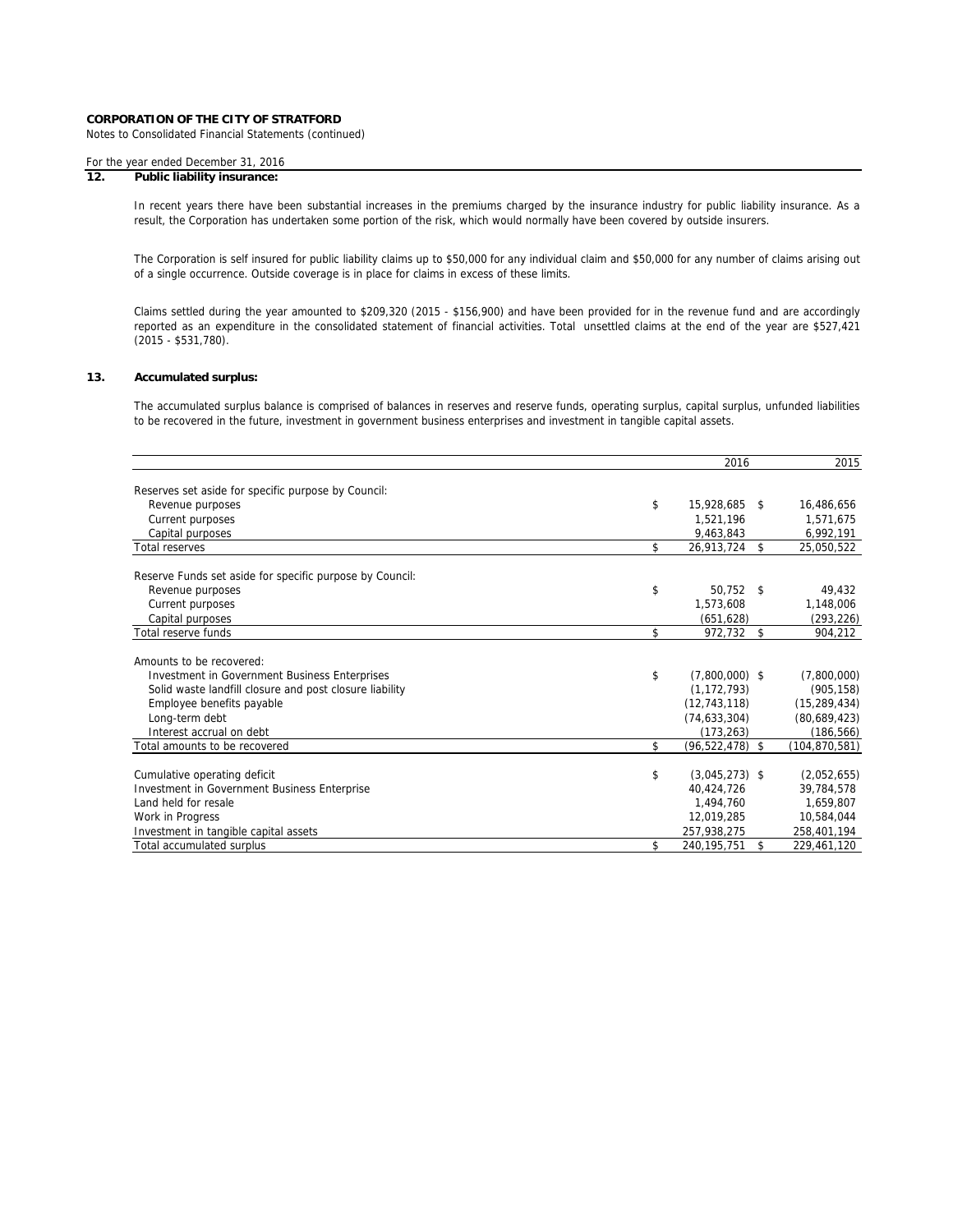Notes to Consolidated Financial Statements (continued)

# For the year ended December 31, 2016

# **12. Public liability insurance:**

In recent years there have been substantial increases in the premiums charged by the insurance industry for public liability insurance. As a result, the Corporation has undertaken some portion of the risk, which would normally have been covered by outside insurers.

The Corporation is self insured for public liability claims up to \$50,000 for any individual claim and \$50,000 for any number of claims arising out of a single occurrence. Outside coverage is in place for claims in excess of these limits.

Claims settled during the year amounted to \$209,320 (2015 - \$156,900) and have been provided for in the revenue fund and are accordingly reported as an expenditure in the consolidated statement of financial activities. Total unsettled claims at the end of the year are \$527,421 (2015 - \$531,780).

### **13. Accumulated surplus:**

The accumulated surplus balance is comprised of balances in reserves and reserve funds, operating surplus, capital surplus, unfunded liabilities to be recovered in the future, investment in government business enterprises and investment in tangible capital assets.

|                                                          |     | 2016             |                    | 2015            |
|----------------------------------------------------------|-----|------------------|--------------------|-----------------|
|                                                          |     |                  |                    |                 |
| Reserves set aside for specific purpose by Council:      |     |                  |                    |                 |
| Revenue purposes                                         | \$  | 15,928,685       | -\$                | 16,486,656      |
| Current purposes                                         |     | 1,521,196        |                    | 1,571,675       |
| Capital purposes                                         |     | 9.463.843        |                    | 6,992,191       |
| <b>Total reserves</b>                                    | \$  | 26,913,724       | \$                 | 25,050,522      |
| Reserve Funds set aside for specific purpose by Council: |     |                  |                    |                 |
| Revenue purposes                                         | \$  | 50,752 \$        |                    | 49,432          |
| Current purposes                                         |     | 1,573,608        |                    | 1,148,006       |
| Capital purposes                                         |     | (651, 628)       |                    | (293, 226)      |
| Total reserve funds                                      | \$  | 972,732 \$       |                    | 904,212         |
| Amounts to be recovered:                                 |     |                  |                    |                 |
| <b>Investment in Government Business Enterprises</b>     | \$  | $(7,800,000)$ \$ |                    | (7,800,000)     |
| Solid waste landfill closure and post closure liability  |     | (1, 172, 793)    |                    | (905, 158)      |
| Employee benefits payable                                |     | (12, 743, 118)   |                    | (15, 289, 434)  |
| Long-term debt                                           |     | (74, 633, 304)   |                    | (80,689,423)    |
| Interest accrual on debt                                 |     | (173, 263)       |                    | (186, 566)      |
| Total amounts to be recovered                            | \$. | (96, 522, 478)   | $\mathbf{\hat{S}}$ | (104, 870, 581) |
| Cumulative operating deficit                             | \$  | $(3,045,273)$ \$ |                    | (2,052,655)     |
| Investment in Government Business Enterprise             |     | 40.424.726       |                    | 39,784,578      |
| Land held for resale                                     |     | 1,494,760        |                    | 1,659,807       |
| Work in Progress                                         |     | 12,019,285       |                    | 10,584,044      |
| Investment in tangible capital assets                    |     | 257,938,275      |                    | 258,401,194     |
| Total accumulated surplus                                | \$  | 240, 195, 751    | \$                 | 229,461,120     |
|                                                          |     |                  |                    |                 |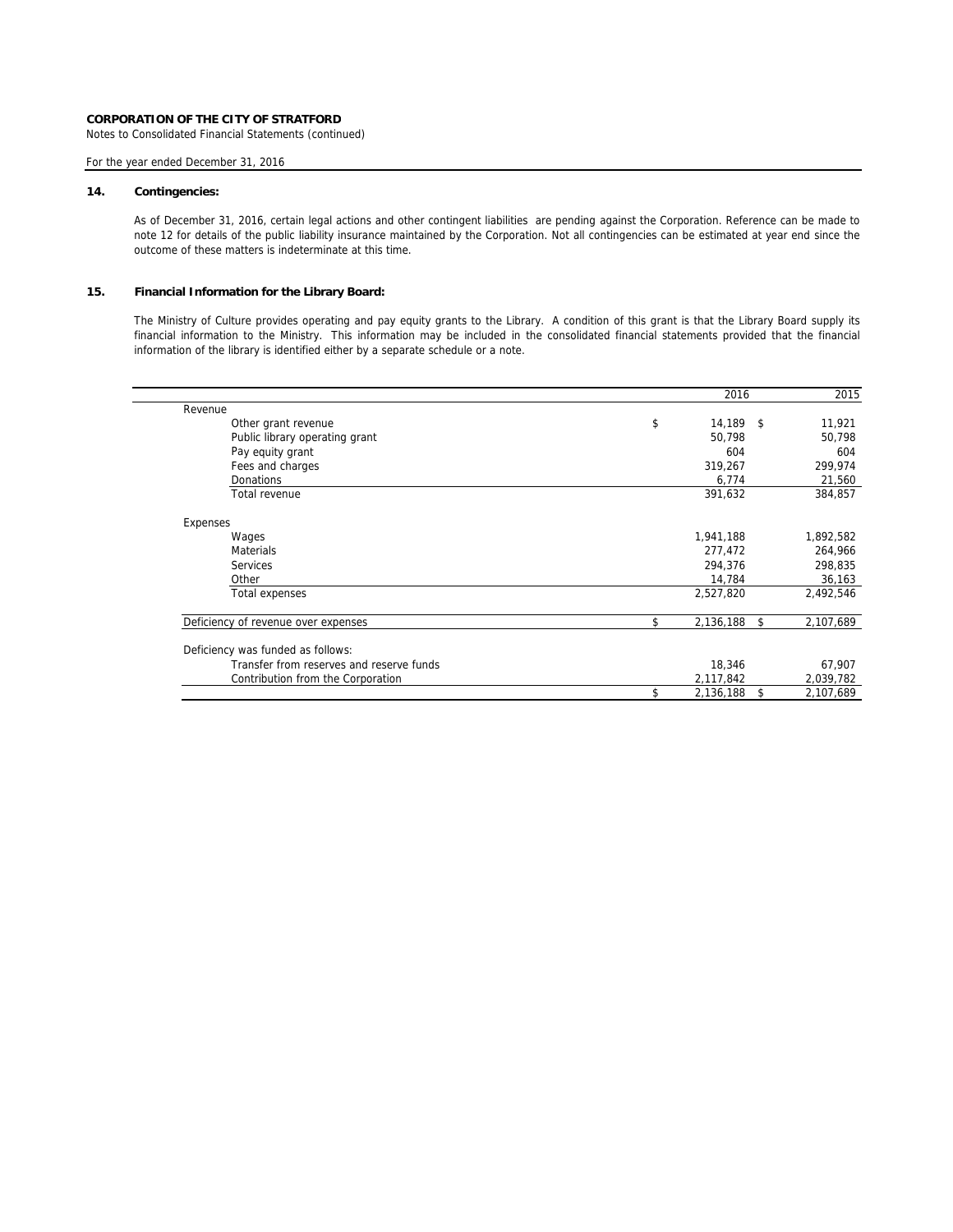Notes to Consolidated Financial Statements (continued)

# For the year ended December 31, 2016

### **14. Contingencies:**

As of December 31, 2016, certain legal actions and other contingent liabilities are pending against the Corporation. Reference can be made to note 12 for details of the public liability insurance maintained by the Corporation. Not all contingencies can be estimated at year end since the outcome of these matters is indeterminate at this time.

# **15. Financial Information for the Library Board:**

The Ministry of Culture provides operating and pay equity grants to the Library. A condition of this grant is that the Library Board supply its financial information to the Ministry. This information may be included in the consolidated financial statements provided that the financial information of the library is identified either by a separate schedule or a note.

|                                          |     | 2016            | 2015      |
|------------------------------------------|-----|-----------------|-----------|
| Revenue                                  |     |                 |           |
| Other grant revenue                      | \$  | $14,189$ \$     | 11,921    |
| Public library operating grant           |     | 50.798          | 50,798    |
| Pay equity grant                         |     | 604             | 604       |
| Fees and charges                         |     | 319,267         | 299,974   |
| <b>Donations</b>                         |     | 6,774           | 21,560    |
| Total revenue                            |     | 391,632         | 384,857   |
| Expenses                                 |     |                 |           |
| Wages                                    |     | 1,941,188       | 1,892,582 |
| <b>Materials</b>                         |     | 277,472         | 264,966   |
| <b>Services</b>                          |     | 294.376         | 298,835   |
| Other                                    |     | 14,784          | 36,163    |
| Total expenses                           |     | 2,527,820       | 2,492,546 |
| Deficiency of revenue over expenses      | \$. | 2,136,188<br>\$ | 2,107,689 |
| Deficiency was funded as follows:        |     |                 |           |
| Transfer from reserves and reserve funds |     | 18,346          | 67,907    |
|                                          |     |                 |           |
| Contribution from the Corporation        |     | 2,117,842       | 2,039,782 |
|                                          |     | 2,136,188<br>\$ | 2,107,689 |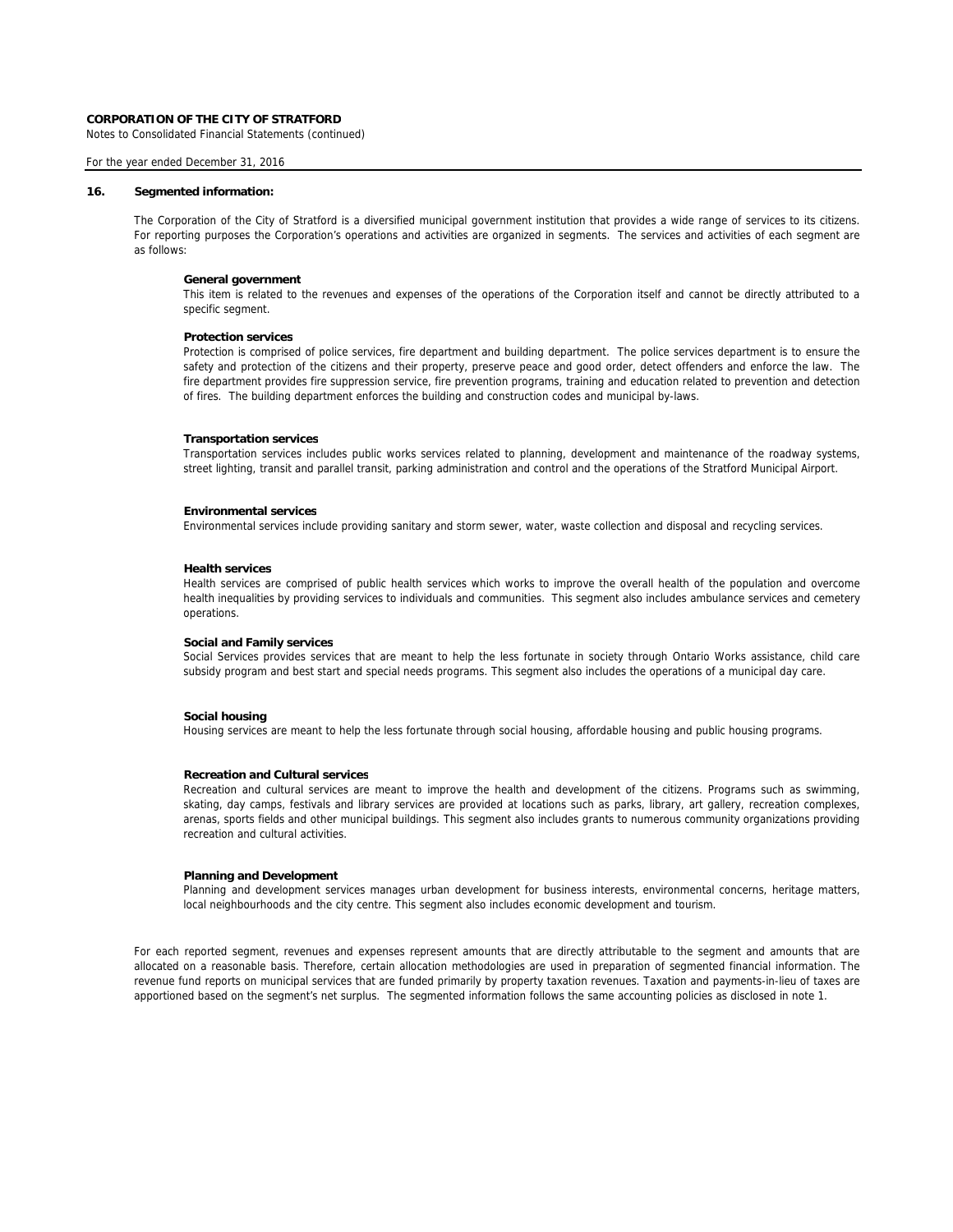Notes to Consolidated Financial Statements (continued)

### For the year ended December 31, 2016

#### **16. Segmented information:**

The Corporation of the City of Stratford is a diversified municipal government institution that provides a wide range of services to its citizens. For reporting purposes the Corporation's operations and activities are organized in segments. The services and activities of each segment are as follows:

# **General government**

This item is related to the revenues and expenses of the operations of the Corporation itself and cannot be directly attributed to a specific segment.

#### **Protection services**

Protection is comprised of police services, fire department and building department. The police services department is to ensure the safety and protection of the citizens and their property, preserve peace and good order, detect offenders and enforce the law. The fire department provides fire suppression service, fire prevention programs, training and education related to prevention and detection of fires. The building department enforces the building and construction codes and municipal by-laws.

#### **Transportation services**

Transportation services includes public works services related to planning, development and maintenance of the roadway systems, street lighting, transit and parallel transit, parking administration and control and the operations of the Stratford Municipal Airport.

### **Environmental services**

Environmental services include providing sanitary and storm sewer, water, waste collection and disposal and recycling services.

#### **Health services**

Health services are comprised of public health services which works to improve the overall health of the population and overcome health inequalities by providing services to individuals and communities. This segment also includes ambulance services and cemetery operations.

### **Social and Family services**

Social Services provides services that are meant to help the less fortunate in society through Ontario Works assistance, child care subsidy program and best start and special needs programs. This segment also includes the operations of a municipal day care.

### **Social housing**

Housing services are meant to help the less fortunate through social housing, affordable housing and public housing programs.

#### **Recreation and Cultural services**

Recreation and cultural services are meant to improve the health and development of the citizens. Programs such as swimming, skating, day camps, festivals and library services are provided at locations such as parks, library, art gallery, recreation complexes, arenas, sports fields and other municipal buildings. This segment also includes grants to numerous community organizations providing recreation and cultural activities.

### **Planning and Development**

Planning and development services manages urban development for business interests, environmental concerns, heritage matters, local neighbourhoods and the city centre. This segment also includes economic development and tourism.

For each reported segment, revenues and expenses represent amounts that are directly attributable to the segment and amounts that are allocated on a reasonable basis. Therefore, certain allocation methodologies are used in preparation of segmented financial information. The revenue fund reports on municipal services that are funded primarily by property taxation revenues. Taxation and payments-in-lieu of taxes are apportioned based on the segment's net surplus. The segmented information follows the same accounting policies as disclosed in note 1.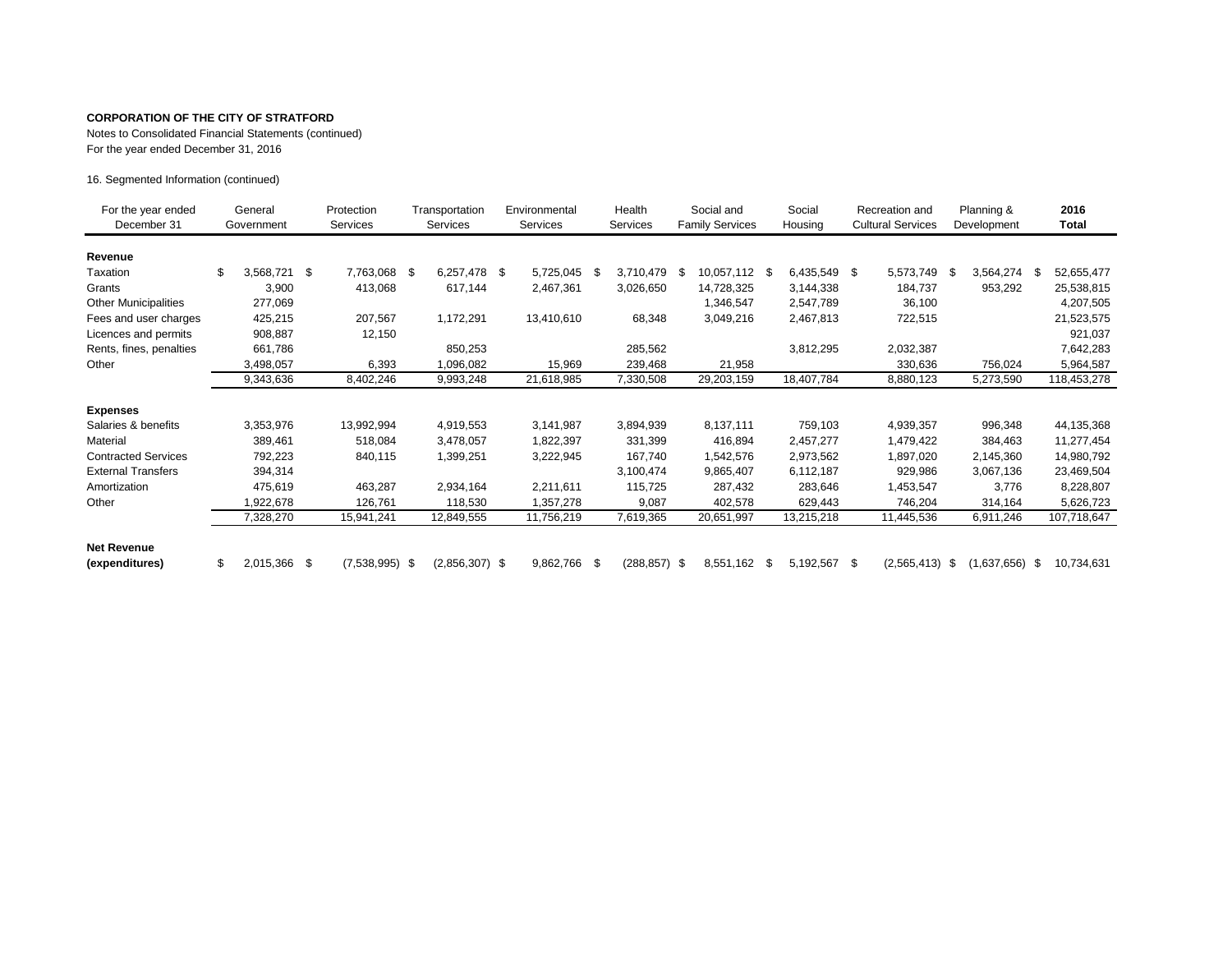Notes to Consolidated Financial Statements (continued)

For the year ended December 31, 2016

16. Segmented Information (continued)

| For the year ended<br>December 31 | General<br>Government |              |    |                  | Protection<br><b>Services</b> |                  | Transportation<br><b>Services</b> |            | Environmental<br>Services |            | Health<br><b>Services</b> |               | Social and<br><b>Family Services</b> |  | Social<br>Housing |      | Recreation and<br><b>Cultural Services</b> |    | Planning &<br>Development |  | 2016<br>Total |
|-----------------------------------|-----------------------|--------------|----|------------------|-------------------------------|------------------|-----------------------------------|------------|---------------------------|------------|---------------------------|---------------|--------------------------------------|--|-------------------|------|--------------------------------------------|----|---------------------------|--|---------------|
| Revenue                           |                       |              |    |                  |                               |                  |                                   |            |                           |            |                           |               |                                      |  |                   |      |                                            |    |                           |  |               |
| Taxation                          |                       | 3,568,721    | \$ | 7,763,068 \$     |                               | 6,257,478 \$     |                                   | 5,725,045  | S                         | 3,710,479  | \$                        | 10,057,112 \$ | 6,435,549 \$                         |  | 5,573,749         | - \$ | 3,564,274                                  | S. | 52,655,477                |  |               |
| Grants                            |                       | 3,900        |    | 413,068          |                               | 617,144          |                                   | 2,467,361  |                           | 3,026,650  |                           | 14,728,325    | 3,144,338                            |  | 184,737           |      | 953,292                                    |    | 25,538,815                |  |               |
| <b>Other Municipalities</b>       |                       | 277,069      |    |                  |                               |                  |                                   |            |                           |            |                           | 1,346,547     | 2,547,789                            |  | 36,100            |      |                                            |    | 4,207,505                 |  |               |
| Fees and user charges             |                       | 425,215      |    | 207,567          |                               | 1,172,291        |                                   | 13,410,610 |                           | 68,348     |                           | 3,049,216     | 2,467,813                            |  | 722,515           |      |                                            |    | 21,523,575                |  |               |
| Licences and permits              |                       | 908,887      |    | 12,150           |                               |                  |                                   |            |                           |            |                           |               |                                      |  |                   |      |                                            |    | 921,037                   |  |               |
| Rents, fines, penalties           |                       | 661,786      |    |                  |                               | 850,253          |                                   |            |                           | 285,562    |                           |               | 3,812,295                            |  | 2,032,387         |      |                                            |    | 7,642,283                 |  |               |
| Other                             |                       | 3,498,057    |    | 6,393            |                               | 1,096,082        |                                   | 15,969     |                           | 239,468    |                           | 21,958        |                                      |  | 330,636           |      | 756,024                                    |    | 5,964,587                 |  |               |
|                                   |                       | 9,343,636    |    | 8,402,246        |                               | 9,993,248        |                                   | 21,618,985 |                           | 7,330,508  |                           | 29,203,159    | 18,407,784                           |  | 8,880,123         |      | 5,273,590                                  |    | 118,453,278               |  |               |
| <b>Expenses</b>                   |                       |              |    |                  |                               |                  |                                   |            |                           |            |                           |               |                                      |  |                   |      |                                            |    |                           |  |               |
| Salaries & benefits               |                       | 3,353,976    |    | 13,992,994       |                               | 4,919,553        |                                   | 3,141,987  |                           | 3,894,939  |                           | 8,137,111     | 759,103                              |  | 4,939,357         |      | 996,348                                    |    | 44,135,368                |  |               |
| Material                          |                       | 389,461      |    | 518,084          |                               | 3,478,057        |                                   | 1,822,397  |                           | 331,399    |                           | 416,894       | 2,457,277                            |  | 1,479,422         |      | 384,463                                    |    | 11,277,454                |  |               |
| <b>Contracted Services</b>        |                       | 792,223      |    | 840,115          |                               | 1,399,251        |                                   | 3,222,945  |                           | 167,740    |                           | 1,542,576     | 2,973,562                            |  | 1,897,020         |      | 2,145,360                                  |    | 14,980,792                |  |               |
| <b>External Transfers</b>         |                       | 394,314      |    |                  |                               |                  |                                   |            |                           | 3,100,474  |                           | 9,865,407     | 6,112,187                            |  | 929,986           |      | 3,067,136                                  |    | 23,469,504                |  |               |
| Amortization                      |                       | 475,619      |    | 463,287          |                               | 2,934,164        |                                   | 2,211,611  |                           | 115,725    |                           | 287,432       | 283,646                              |  | 1,453,547         |      | 3,776                                      |    | 8,228,807                 |  |               |
| Other                             |                       | 1,922,678    |    | 126,761          |                               | 118,530          |                                   | 1,357,278  |                           | 9,087      |                           | 402,578       | 629,443                              |  | 746,204           |      | 314,164                                    |    | 5,626,723                 |  |               |
|                                   |                       | 7,328,270    |    | 15,941,241       |                               | 12,849,555       |                                   | 11,756,219 |                           | 7,619,365  |                           | 20,651,997    | 13,215,218                           |  | 11,445,536        |      | 6,911,246                                  |    | 107,718,647               |  |               |
| <b>Net Revenue</b>                |                       |              |    |                  |                               |                  |                                   |            |                           |            |                           |               |                                      |  |                   |      |                                            |    |                           |  |               |
| (expenditures)                    |                       | 2,015,366 \$ |    | $(7,538,995)$ \$ |                               | $(2,856,307)$ \$ |                                   | 9,862,766  | \$                        | (288, 857) | - \$                      | 8,551,162 \$  | 5,192,567 \$                         |  | (2,565,413)       | - \$ | $(1,637,656)$ \$                           |    | 10,734,631                |  |               |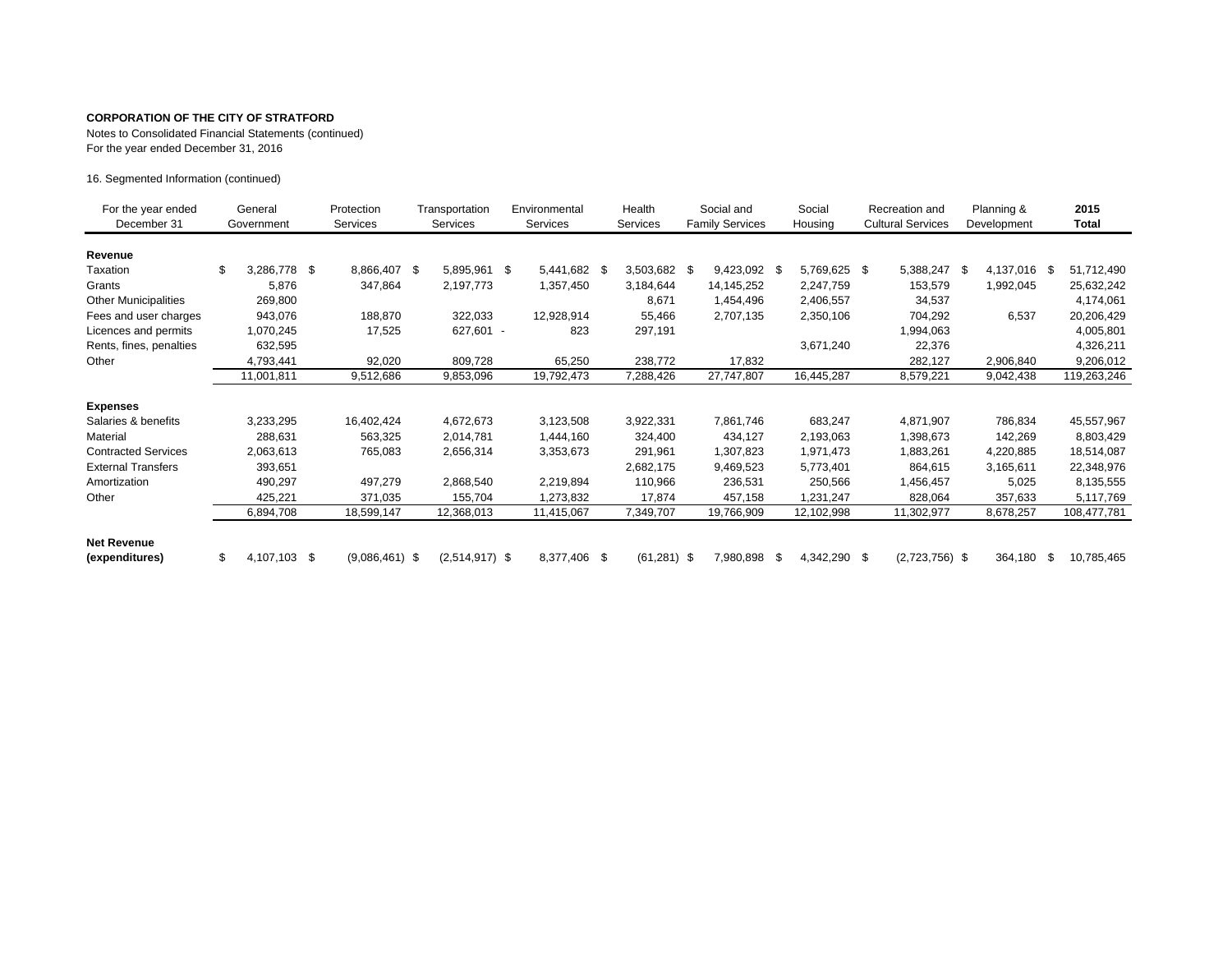Notes to Consolidated Financial Statements (continued) For the year ended December 31, 2016

16. Segmented Information (continued)

| For the year ended<br>December 31    | General<br>Government |              | Protection<br>Services |                  | Transportation<br>Services |                  | Environmental<br><b>Services</b> |  | Health<br>Services |  | Social and<br><b>Family Services</b> |     | Social<br>Housing | Recreation and<br><b>Cultural Services</b> |  | Planning &<br>Development |      | 2015<br><b>Total</b> |
|--------------------------------------|-----------------------|--------------|------------------------|------------------|----------------------------|------------------|----------------------------------|--|--------------------|--|--------------------------------------|-----|-------------------|--------------------------------------------|--|---------------------------|------|----------------------|
| Revenue                              |                       |              |                        |                  |                            |                  |                                  |  |                    |  |                                      |     |                   |                                            |  |                           |      |                      |
| Taxation                             | \$                    | 3,286,778    | - \$                   | 8,866,407 \$     |                            | 5,895,961 \$     | 5,441,682 \$                     |  | 3,503,682 \$       |  | 9,423,092 \$                         |     | 5,769,625 \$      | 5,388,247 \$                               |  | 4,137,016                 | - \$ | 51,712,490           |
| Grants                               |                       | 5,876        |                        | 347,864          |                            | 2,197,773        | 1,357,450                        |  | 3,184,644          |  | 14,145,252                           |     | 2,247,759         | 153,579                                    |  | 1,992,045                 |      | 25,632,242           |
| <b>Other Municipalities</b>          |                       | 269,800      |                        |                  |                            |                  |                                  |  | 8,671              |  | 1,454,496                            |     | 2,406,557         | 34,537                                     |  |                           |      | 4,174,061            |
| Fees and user charges                |                       | 943,076      |                        | 188,870          |                            | 322,033          | 12,928,914                       |  | 55,466             |  | 2,707,135                            |     | 2,350,106         | 704,292                                    |  | 6,537                     |      | 20,206,429           |
| Licences and permits                 |                       | 1,070,245    |                        | 17,525           |                            | 627,601 -        | 823                              |  | 297,191            |  |                                      |     |                   | 1,994,063                                  |  |                           |      | 4,005,801            |
| Rents, fines, penalties              |                       | 632,595      |                        |                  |                            |                  |                                  |  |                    |  |                                      |     | 3,671,240         | 22,376                                     |  |                           |      | 4,326,211            |
| Other                                |                       | 4,793,441    |                        | 92,020           |                            | 809,728          | 65,250                           |  | 238,772            |  | 17,832                               |     |                   | 282,127                                    |  | 2,906,840                 |      | 9,206,012            |
|                                      |                       | 11,001,811   |                        | 9,512,686        |                            | 9,853,096        | 19,792,473                       |  | 7,288,426          |  | 27,747,807                           |     | 16,445,287        | 8,579,221                                  |  | 9,042,438                 |      | 119,263,246          |
| <b>Expenses</b>                      |                       |              |                        |                  |                            |                  |                                  |  |                    |  |                                      |     |                   |                                            |  |                           |      |                      |
| Salaries & benefits                  |                       | 3,233,295    |                        | 16,402,424       |                            | 4,672,673        | 3,123,508                        |  | 3,922,331          |  | 7,861,746                            |     | 683,247           | 4,871,907                                  |  | 786,834                   |      | 45,557,967           |
| Material                             |                       | 288,631      |                        | 563,325          |                            | 2,014,781        | 1,444,160                        |  | 324,400            |  | 434,127                              |     | 2,193,063         | 1,398,673                                  |  | 142,269                   |      | 8,803,429            |
| <b>Contracted Services</b>           |                       | 2,063,613    |                        | 765,083          |                            | 2,656,314        | 3,353,673                        |  | 291,961            |  | 1,307,823                            |     | 1,971,473         | 1,883,261                                  |  | 4,220,885                 |      | 18,514,087           |
| <b>External Transfers</b>            |                       | 393,651      |                        |                  |                            |                  |                                  |  | 2,682,175          |  | 9,469,523                            |     | 5,773,401         | 864,615                                    |  | 3,165,611                 |      | 22,348,976           |
| Amortization                         |                       | 490,297      |                        | 497,279          |                            | 2,868,540        | 2,219,894                        |  | 110,966            |  | 236,531                              |     | 250,566           | 1,456,457                                  |  | 5,025                     |      | 8,135,555            |
| Other                                |                       | 425,221      |                        | 371,035          |                            | 155,704          | 1,273,832                        |  | 17,874             |  | 457,158                              |     | 1,231,247         | 828,064                                    |  | 357,633                   |      | 5,117,769            |
|                                      |                       | 6,894,708    |                        | 18,599,147       |                            | 12,368,013       | 11,415,067                       |  | 7,349,707          |  | 19,766,909                           |     | 12,102,998        | 11,302,977                                 |  | 8,678,257                 |      | 108,477,781          |
| <b>Net Revenue</b><br>(expenditures) | \$                    | 4,107,103 \$ |                        | $(9,086,461)$ \$ |                            | $(2,514,917)$ \$ | 8,377,406 \$                     |  | $(61, 281)$ \$     |  | 7,980,898                            | -\$ | 4,342,290 \$      | $(2,723,756)$ \$                           |  | 364,180                   | \$   | 10,785,465           |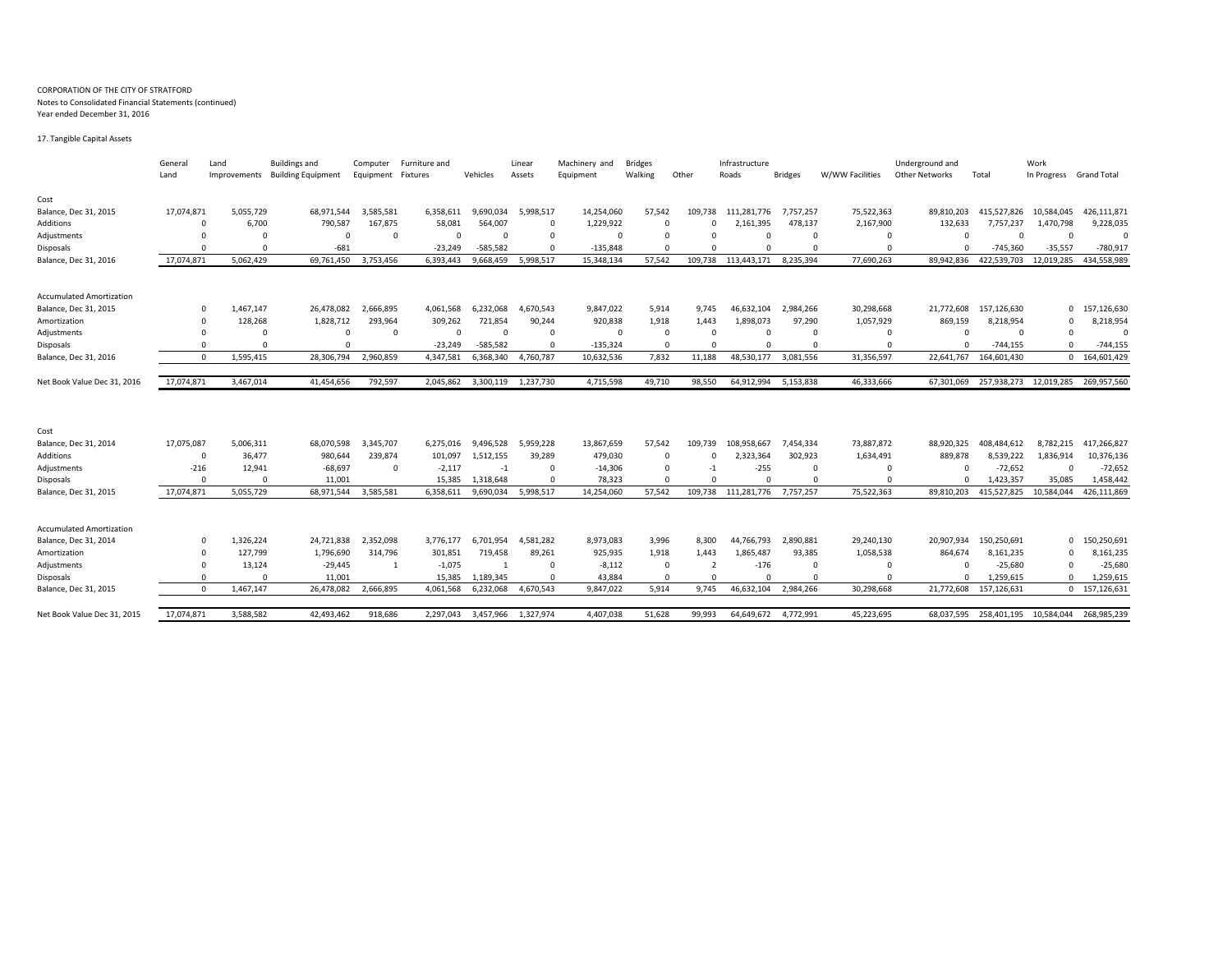#### CORPORATION OF THE CITY OF STRATFORD Notes to Consolidated Financial Statements (continued) Year ended December 31, 2016

17. Tangible Capital Assets

|                                 | General    | Land                  | <b>Buildings and</b>      | Computer   | Furniture and |            | Linear    | Machinery and | <b>Bridges</b> |                              | Infrastructure |                |                 | Underground and |             | Work                    |               |  |
|---------------------------------|------------|-----------------------|---------------------------|------------|---------------|------------|-----------|---------------|----------------|------------------------------|----------------|----------------|-----------------|-----------------|-------------|-------------------------|---------------|--|
|                                 | Land       | Improvements          | <b>Building Equipment</b> | Equipment  | Fixtures      | Vehicles   | Assets    | Equipment     | Walking        | Other                        | Roads          | <b>Bridges</b> | W/WW Facilities | Other Networks  | Total       | In Progress Grand Total |               |  |
|                                 |            |                       |                           |            |               |            |           |               |                |                              |                |                |                 |                 |             |                         |               |  |
| Cost                            |            |                       |                           |            |               |            |           |               |                |                              |                |                |                 |                 |             |                         |               |  |
| Balance, Dec 31, 2015           | 17,074,871 | 5,055,729             | 68,971,544                | 3,585,581  | 6,358,611     | 9,690,034  | 5,998,517 | 14,254,060    | 57,542         | 109,738                      | 111,281,776    | 7,757,257      | 75,522,363      | 89,810,203      | 415,527,826 | 10,584,045              | 426,111,871   |  |
| Additions                       |            | 6,700<br>$\Omega$     | 790,587                   | 167,875    | 58,081        | 564,007    | $\Omega$  | 1,229,922     |                | $\Omega$                     | 2,161,395      | 478,137        | 2,167,900       | 132,633         | 7,757,237   | 1,470,798               | 9,228,035     |  |
| Adjustments                     |            |                       | $\Omega$                  | $\Omega$   | $\Omega$      | $\Omega$   |           | $\Omega$      | $\Omega$       | n                            | $\Omega$       | $\Omega$       | $\Omega$        | $\Omega$        |             | $\Omega$                | $\Omega$      |  |
| <b>Disposals</b>                |            | $\Omega$<br>$\Omega$  | $-681$                    |            | $-23,249$     | $-585.582$ | $\Omega$  | $-135,848$    |                | $\Omega$<br>0                | $\Omega$       |                |                 | $\Omega$        | $-745,360$  | $-35,557$               | $-780,917$    |  |
| Balance, Dec 31, 2016           | 17,074,871 | 5,062,429             | 69,761,450                | 3,753,456  | 6,393,443     | 9,668,459  | 5,998,517 | 15,348,134    | 57,542         | 109,738                      | 113,443,171    | 8,235,394      | 77,690,263      | 89,942,836      | 422,539,703 | 12,019,285              | 434,558,989   |  |
|                                 |            |                       |                           |            |               |            |           |               |                |                              |                |                |                 |                 |             |                         |               |  |
| <b>Accumulated Amortization</b> |            |                       |                           |            |               |            |           |               |                |                              |                |                |                 |                 |             |                         |               |  |
| Balance, Dec 31, 2015           |            | 1,467,147<br>$\Omega$ | 26,478,082                | 2,666,895  | 4,061,568     | 6.232.068  | 4,670,543 | 9,847,022     | 5,914          | 9.745                        | 46,632,104     | 2,984,266      | 30,298,668      | 21,772,608      | 157,126,630 |                         | 0 157,126,630 |  |
| Amortization                    |            | 128,268<br>$\Omega$   | 1,828,712                 | 293,964    | 309,262       | 721,854    | 90,244    | 920,838       | 1,918          | 1,443                        | 1,898,073      | 97,290         | 1,057,929       | 869,159         | 8,218,954   | $\Omega$                | 8,218,954     |  |
| Adjustments                     |            |                       | $\Omega$                  | $\Omega$   | $\Omega$      | $\Omega$   | $\Omega$  |               | $\Omega$       | $\Omega$                     | $\Omega$       |                | $\Omega$        | $\Omega$        | $\Omega$    | $\Omega$                | $\Omega$      |  |
| <b>Disposals</b>                |            | $\Omega$<br>$\Omega$  | $\Omega$                  |            | $-23,249$     | $-585,582$ | $\Omega$  | $-135,324$    |                | $\Omega$<br>$\Omega$         | $\Omega$       | $\Omega$       | $\Omega$        |                 | $-744,155$  | O                       | $-744,155$    |  |
| Balance, Dec 31, 2016           |            | 1,595,415<br>$\Omega$ | 28,306,794                | 2,960,859  | 4,347,581     | 6,368,340  | 4,760,787 | 10,632,536    | 7,832          | 11,188                       | 48,530,177     | 3,081,556      | 31,356,597      | 22,641,767      | 164,601,430 |                         | 0 164,601,429 |  |
|                                 |            |                       |                           |            |               |            |           |               |                |                              |                |                |                 |                 |             |                         |               |  |
| Net Book Value Dec 31, 2016     | 17,074,871 | 3,467,014             | 41,454,656                | 792,597    | 2.045.862     | 3,300,119  | 1,237,730 | 4,715,598     | 49,710         | 98,550                       | 64,912,994     | 5,153,838      | 46,333,666      | 67,301,069      | 257,938,273 | 12,019,285              | 269,957,560   |  |
|                                 |            |                       |                           |            |               |            |           |               |                |                              |                |                |                 |                 |             |                         |               |  |
|                                 |            |                       |                           |            |               |            |           |               |                |                              |                |                |                 |                 |             |                         |               |  |
| Cost                            |            |                       |                           |            |               |            |           |               |                |                              |                |                |                 |                 |             |                         |               |  |
| Balance, Dec 31, 2014           | 17,075,087 | 5,006,311             | 68,070,598                | 3,345,707  | 6,275,016     | 9,496,528  | 5,959,228 | 13,867,659    | 57,542         | 109,739                      | 108,958,667    | 7,454,334      | 73,887,872      | 88,920,325      | 408,484,612 | 8,782,215               | 417,266,827   |  |
| Additions                       |            | 36,477<br>$\Omega$    | 980,644                   | 239,874    | 101,097       | 1,512,155  | 39,289    | 479,030       |                | $\Omega$                     | 2,323,364      | 302,923        | 1,634,491       | 889,878         | 8,539,222   | 1,836,914               | 10,376,136    |  |
| Adjustments                     | $-216$     | 12,941                | $-68,697$                 | $^{\circ}$ | $-2,117$      | $-1$       | $\Omega$  | $-14,306$     |                | $\Omega$<br>$-1$             | $-255$         | $\Omega$       | $\Omega$        |                 | $-72,652$   | $\Omega$                | $-72,652$     |  |
| <b>Disposals</b>                |            | $\Omega$<br>$\Omega$  | 11,001                    |            | 15,385        | 1,318,648  | $\Omega$  | 78,323        |                | $\Omega$<br>$\Omega$         | $\Omega$       |                |                 | $\Omega$        | 1,423,357   | 35,085                  | 1,458,442     |  |
| Balance, Dec 31, 2015           | 17,074,871 | 5,055,729             | 68,971,544                | 3,585,581  | 6,358,611     | 9,690,034  | 5,998,517 | 14,254,060    | 57,542         | 109,738                      | 111,281,776    | 7,757,257      | 75,522,363      | 89,810,203      | 415,527,825 | 10,584,044              | 426,111,869   |  |
|                                 |            |                       |                           |            |               |            |           |               |                |                              |                |                |                 |                 |             |                         |               |  |
| <b>Accumulated Amortization</b> |            |                       |                           |            |               |            |           |               |                |                              |                |                |                 |                 |             |                         |               |  |
| Balance, Dec 31, 2014           |            | 1,326,224<br>$\Omega$ | 24,721,838                | 2,352,098  | 3,776,177     | 6,701,954  | 4,581,282 | 8,973,083     | 3,996          | 8,300                        | 44,766,793     | 2,890,881      | 29,240,130      | 20,907,934      | 150,250,691 | $\mathbf{0}$            | 150,250,691   |  |
| Amortization                    |            | 127,799               | 1,796,690                 | 314,796    | 301,851       | 719,458    | 89,261    | 925,935       | 1,918          | 1,443                        | 1,865,487      | 93,385         | 1,058,538       | 864,674         | 8,161,235   | $\Omega$                | 8,161,235     |  |
| Adjustments                     |            | 13,124<br>$\Omega$    | $-29,445$                 | 1          | $-1,075$      |            | $\Omega$  | $-8,112$      |                | $^{\circ}$<br>$\overline{2}$ | $-176$         | $\Omega$       | $\Omega$        |                 | $-25,680$   | $\Omega$                | $-25,680$     |  |
| <b>Disposals</b>                |            | $\Omega$<br>$\Omega$  | 11,001                    |            | 15,385        | 1,189,345  | $\Omega$  | 43,884        |                | $\Omega$                     | $\Omega$       |                |                 |                 | 1,259,615   | $\Omega$                | 1,259,615     |  |
| Balance, Dec 31, 2015           |            | 1,467,147<br>$\Omega$ | 26,478,082                | 2,666,895  | 4,061,568     | 6,232,068  | 4,670,543 | 9,847,022     | 5,914          | 9,745                        | 46,632,104     | 2,984,266      | 30,298,668      | 21,772,608      | 157,126,631 | 0                       | 157,126,63    |  |
|                                 |            |                       |                           |            |               |            |           |               |                |                              |                |                |                 |                 |             |                         |               |  |
| Net Book Value Dec 31, 2015     | 17.074.871 | 3,588,582             | 42.493.462                | 918,686    | 2.297.043     | 3.457.966  | 1.327.974 | 4,407,038     | 51,628         | 99.993                       | 64.649.672     | 4.772.991      | 45,223,695      | 68.037.595      | 258.401.195 | 10.584.044              | 268.985.239   |  |